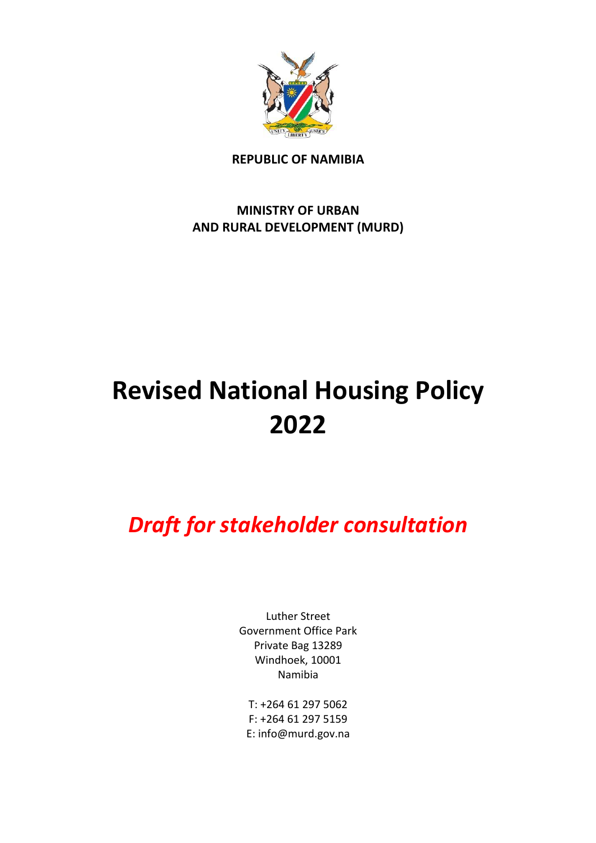

**REPUBLIC OF NAMIBIA**

**MINISTRY OF URBAN AND RURAL DEVELOPMENT (MURD)**

# **Revised National Housing Policy 2022**

*Draft for stakeholder consultation*

Luther Street Government Office Park Private Bag 13289 Windhoek, 10001 Namibia

T: +264 61 297 5062 F: +264 61 297 5159 E: info@murd.gov.na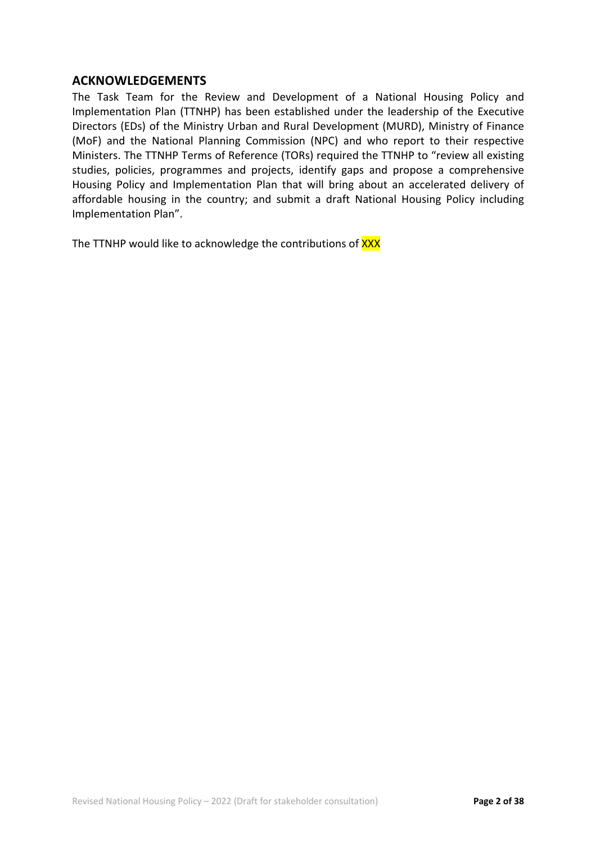## **ACKNOWLEDGEMENTS**

The Task Team for the Review and Development of a National Housing Policy and Implementation Plan (TTNHP) has been established under the leadership of the Executive Directors (EDs) of the Ministry Urban and Rural Development (MURD), Ministry of Finance (MoF) and the National Planning Commission (NPC) and who report to their respective Ministers. The TTNHP Terms of Reference (TORs) required the TTNHP to "review all existing studies, policies, programmes and projects, identify gaps and propose a comprehensive Housing Policy and Implementation Plan that will bring about an accelerated delivery of affordable housing in the country; and submit a draft National Housing Policy including Implementation Plan".

The TTNHP would like to acknowledge the contributions of XXX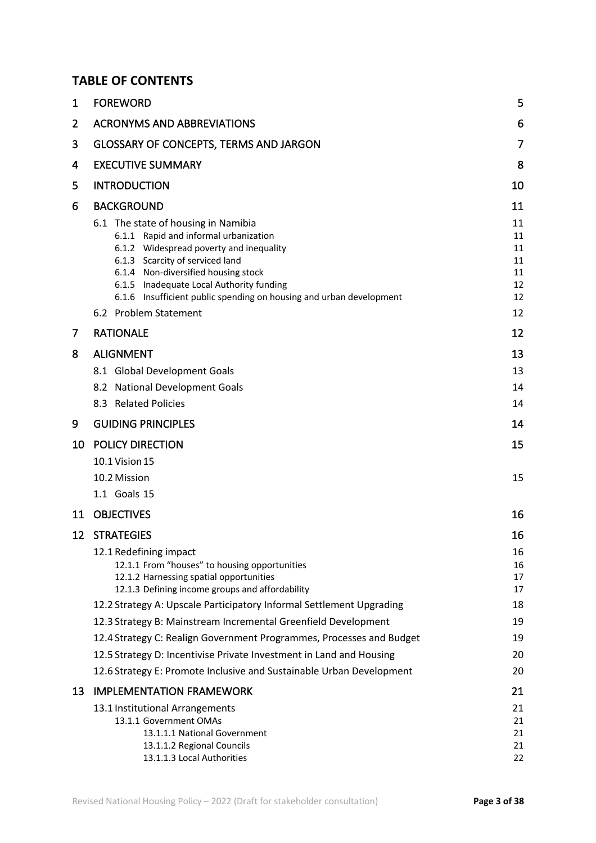## **TABLE OF CONTENTS**

| $\mathbf 1$ | <b>FOREWORD</b>                                                                                                         | 5        |
|-------------|-------------------------------------------------------------------------------------------------------------------------|----------|
| 2           | <b>ACRONYMS AND ABBREVIATIONS</b>                                                                                       | 6        |
| 3           | GLOSSARY OF CONCEPTS, TERMS AND JARGON                                                                                  | 7        |
| 4           | <b>EXECUTIVE SUMMARY</b>                                                                                                | 8        |
| 5           | <b>INTRODUCTION</b>                                                                                                     | 10       |
| 6           | <b>BACKGROUND</b>                                                                                                       | 11       |
|             | 6.1 The state of housing in Namibia                                                                                     | 11       |
|             | 6.1.1 Rapid and informal urbanization                                                                                   | 11       |
|             | 6.1.2 Widespread poverty and inequality                                                                                 | 11       |
|             | 6.1.3 Scarcity of serviced land                                                                                         | 11       |
|             | 6.1.4 Non-diversified housing stock<br>6.1.5 Inadequate Local Authority funding                                         | 11<br>12 |
|             | 6.1.6 Insufficient public spending on housing and urban development                                                     | 12       |
|             | 6.2 Problem Statement                                                                                                   | 12       |
| 7           | <b>RATIONALE</b>                                                                                                        | 12       |
| 8           | <b>ALIGNMENT</b>                                                                                                        | 13       |
|             | 8.1 Global Development Goals                                                                                            | 13       |
|             | 8.2 National Development Goals                                                                                          | 14       |
|             | 8.3 Related Policies                                                                                                    | 14       |
| 9           | <b>GUIDING PRINCIPLES</b>                                                                                               | 14       |
| 10          | <b>POLICY DIRECTION</b>                                                                                                 | 15       |
|             | 10.1 Vision 15                                                                                                          |          |
|             | 10.2 Mission                                                                                                            | 15       |
|             | 1.1 Goals 15                                                                                                            |          |
| 11          | <b>OBJECTIVES</b>                                                                                                       | 16       |
|             | 12 STRATEGIES                                                                                                           | 16       |
|             | 12.1 Redefining impact                                                                                                  | 16       |
|             | 12.1.1 From "houses" to housing opportunities                                                                           | 16       |
|             | 12.1.2 Harnessing spatial opportunities                                                                                 | 17       |
|             | 12.1.3 Defining income groups and affordability<br>12.2 Strategy A: Upscale Participatory Informal Settlement Upgrading | 17<br>18 |
|             | 12.3 Strategy B: Mainstream Incremental Greenfield Development                                                          | 19       |
|             | 12.4 Strategy C: Realign Government Programmes, Processes and Budget                                                    | 19       |
|             | 12.5 Strategy D: Incentivise Private Investment in Land and Housing                                                     | 20       |
|             | 12.6 Strategy E: Promote Inclusive and Sustainable Urban Development                                                    | 20       |
| 13          | <b>IMPLEMENTATION FRAMEWORK</b>                                                                                         | 21       |
|             | 13.1 Institutional Arrangements                                                                                         | 21       |
|             | 13.1.1 Government OMAs                                                                                                  | 21       |
|             | 13.1.1.1 National Government                                                                                            | 21       |
|             | 13.1.1.2 Regional Councils                                                                                              | 21       |
|             | 13.1.1.3 Local Authorities                                                                                              | 22       |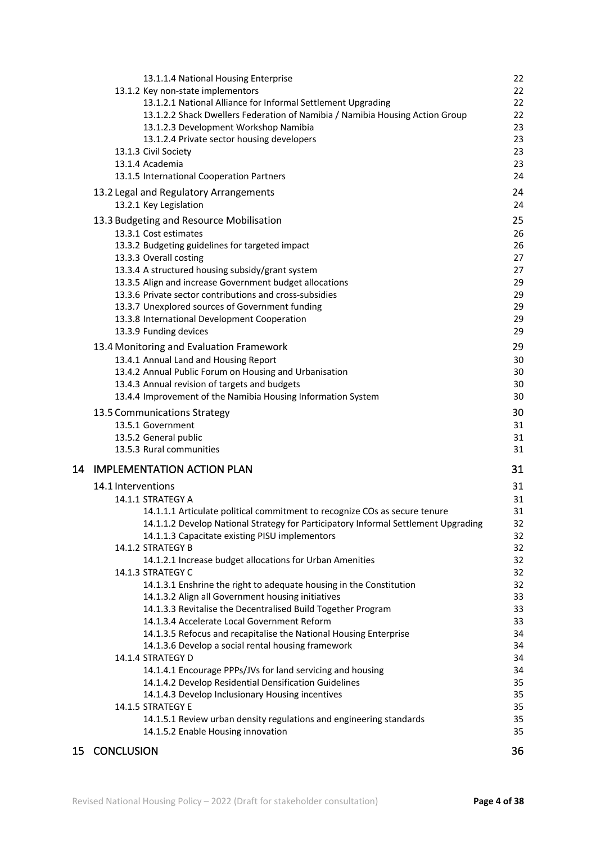|    | 13.1.1.4 National Housing Enterprise                                               | 22       |
|----|------------------------------------------------------------------------------------|----------|
|    | 13.1.2 Key non-state implementors                                                  | 22       |
|    | 13.1.2.1 National Alliance for Informal Settlement Upgrading                       | 22       |
|    | 13.1.2.2 Shack Dwellers Federation of Namibia / Namibia Housing Action Group       | 22       |
|    | 13.1.2.3 Development Workshop Namibia                                              | 23       |
|    | 13.1.2.4 Private sector housing developers                                         | 23       |
|    | 13.1.3 Civil Society                                                               | 23       |
|    | 13.1.4 Academia                                                                    | 23       |
|    | 13.1.5 International Cooperation Partners                                          | 24       |
|    | 13.2 Legal and Regulatory Arrangements                                             | 24       |
|    | 13.2.1 Key Legislation                                                             | 24       |
|    | 13.3 Budgeting and Resource Mobilisation                                           | 25       |
|    | 13.3.1 Cost estimates                                                              | 26       |
|    | 13.3.2 Budgeting guidelines for targeted impact                                    | 26       |
|    | 13.3.3 Overall costing                                                             | 27       |
|    | 13.3.4 A structured housing subsidy/grant system                                   | 27       |
|    | 13.3.5 Align and increase Government budget allocations                            | 29       |
|    | 13.3.6 Private sector contributions and cross-subsidies                            | 29       |
|    | 13.3.7 Unexplored sources of Government funding                                    | 29       |
|    | 13.3.8 International Development Cooperation                                       | 29       |
|    | 13.3.9 Funding devices                                                             | 29       |
|    | 13.4 Monitoring and Evaluation Framework                                           | 29       |
|    | 13.4.1 Annual Land and Housing Report                                              | 30       |
|    | 13.4.2 Annual Public Forum on Housing and Urbanisation                             | 30       |
|    | 13.4.3 Annual revision of targets and budgets                                      | 30       |
|    | 13.4.4 Improvement of the Namibia Housing Information System                       | 30       |
|    | 13.5 Communications Strategy                                                       | 30       |
|    | 13.5.1 Government                                                                  | 31       |
|    | 13.5.2 General public                                                              | 31       |
|    | 13.5.3 Rural communities                                                           | 31       |
|    | 14 IMPLEMENTATION ACTION PLAN                                                      | 31       |
|    | 14.1 Interventions                                                                 | 31       |
|    | 14.1.1 STRATEGY A                                                                  |          |
|    | 14.1.1.1 Articulate political commitment to recognize COs as secure tenure         | 31<br>31 |
|    | 14.1.1.2 Develop National Strategy for Participatory Informal Settlement Upgrading | 32       |
|    | 14.1.1.3 Capacitate existing PISU implementors                                     | 32       |
|    | 14.1.2 STRATEGY B                                                                  | 32       |
|    | 14.1.2.1 Increase budget allocations for Urban Amenities                           | 32       |
|    | 14.1.3 STRATEGY C                                                                  | 32       |
|    | 14.1.3.1 Enshrine the right to adequate housing in the Constitution                | 32       |
|    | 14.1.3.2 Align all Government housing initiatives                                  | 33       |
|    | 14.1.3.3 Revitalise the Decentralised Build Together Program                       | 33       |
|    | 14.1.3.4 Accelerate Local Government Reform                                        | 33       |
|    | 14.1.3.5 Refocus and recapitalise the National Housing Enterprise                  | 34       |
|    | 14.1.3.6 Develop a social rental housing framework                                 | 34       |
|    | 14.1.4 STRATEGY D                                                                  | 34       |
|    | 14.1.4.1 Encourage PPPs/JVs for land servicing and housing                         | 34       |
|    | 14.1.4.2 Develop Residential Densification Guidelines                              | 35       |
|    | 14.1.4.3 Develop Inclusionary Housing incentives                                   | 35       |
|    | 14.1.5 STRATEGY E                                                                  | 35       |
|    | 14.1.5.1 Review urban density regulations and engineering standards                | 35       |
|    | 14.1.5.2 Enable Housing innovation                                                 | 35       |
| 15 | <b>CONCLUSION</b>                                                                  | 36       |
|    |                                                                                    |          |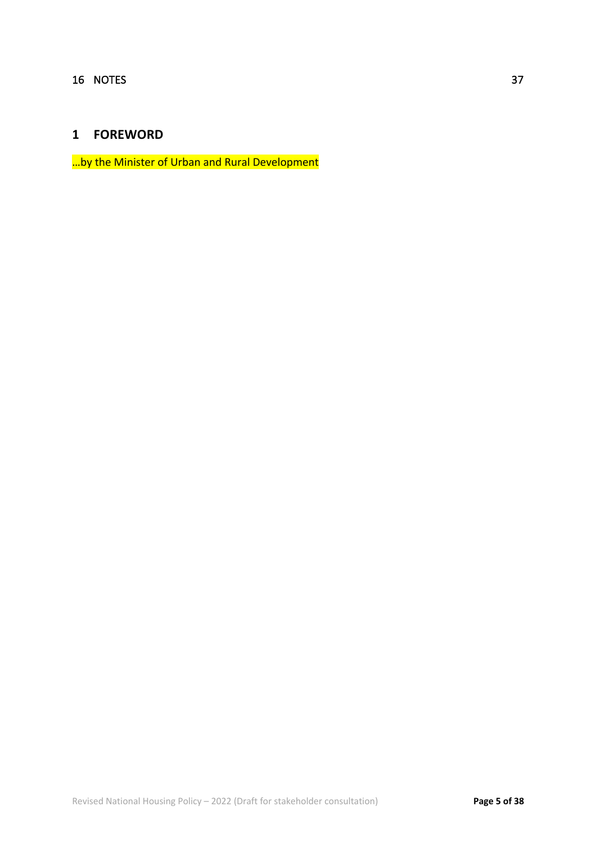# **1 FOREWORD**

…by the Minister of Urban and Rural Development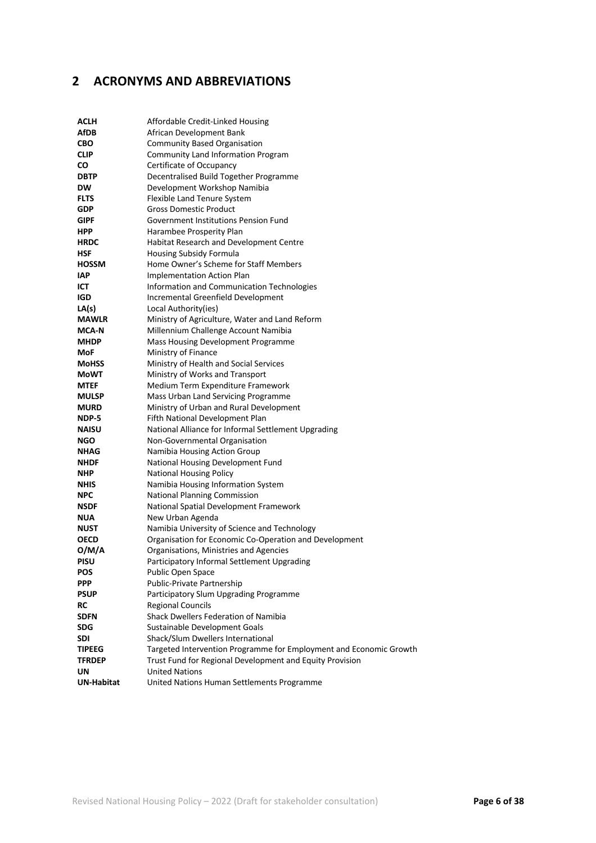# **2 ACRONYMS AND ABBREVIATIONS**

| <b>ACLH</b>       | Affordable Credit-Linked Housing                                   |
|-------------------|--------------------------------------------------------------------|
| AfDB              | African Development Bank                                           |
| <b>CBO</b>        | <b>Community Based Organisation</b>                                |
| CLIP              | Community Land Information Program                                 |
| CO                | Certificate of Occupancy                                           |
| <b>DBTP</b>       | Decentralised Build Together Programme                             |
| <b>DW</b>         | Development Workshop Namibia                                       |
| <b>FLTS</b>       | Flexible Land Tenure System                                        |
| GDP               | <b>Gross Domestic Product</b>                                      |
| GIPF              | Government Institutions Pension Fund                               |
| <b>HPP</b>        | Harambee Prosperity Plan                                           |
| <b>HRDC</b>       | Habitat Research and Development Centre                            |
| <b>HSF</b>        | <b>Housing Subsidy Formula</b>                                     |
| <b>HOSSM</b>      | Home Owner's Scheme for Staff Members                              |
| <b>IAP</b>        | <b>Implementation Action Plan</b>                                  |
| ICT               | Information and Communication Technologies                         |
| <b>IGD</b>        | Incremental Greenfield Development                                 |
| LA(s)             | Local Authority(ies)                                               |
| <b>MAWLR</b>      | Ministry of Agriculture, Water and Land Reform                     |
| <b>MCA-N</b>      | Millennium Challenge Account Namibia                               |
| <b>MHDP</b>       | Mass Housing Development Programme                                 |
| MoF               | Ministry of Finance                                                |
| <b>MoHSS</b>      | Ministry of Health and Social Services                             |
| MoWT              | Ministry of Works and Transport                                    |
| <b>MTEF</b>       | Medium Term Expenditure Framework                                  |
| <b>MULSP</b>      | Mass Urban Land Servicing Programme                                |
| <b>MURD</b>       | Ministry of Urban and Rural Development                            |
| NDP-5             | Fifth National Development Plan                                    |
| <b>NAISU</b>      | National Alliance for Informal Settlement Upgrading                |
| <b>NGO</b>        | Non-Governmental Organisation                                      |
| NHAG              | Namibia Housing Action Group                                       |
| NHDF              | National Housing Development Fund                                  |
| NHP               | <b>National Housing Policy</b>                                     |
| NHIS              | Namibia Housing Information System                                 |
| <b>NPC</b>        | <b>National Planning Commission</b>                                |
| <b>NSDF</b>       | National Spatial Development Framework                             |
| <b>NUA</b>        | New Urban Agenda                                                   |
| <b>NUST</b>       | Namibia University of Science and Technology                       |
| OECD              | Organisation for Economic Co-Operation and Development             |
| O/M/A             | Organisations, Ministries and Agencies                             |
| <b>PISU</b>       | Participatory Informal Settlement Upgrading                        |
| POS               | Public Open Space                                                  |
| <b>PPP</b>        | Public-Private Partnership                                         |
| <b>PSUP</b><br>RC | Participatory Slum Upgrading Programme                             |
| <b>SDFN</b>       | <b>Regional Councils</b><br>Shack Dwellers Federation of Namibia   |
| <b>SDG</b>        | Sustainable Development Goals                                      |
| SDI               | Shack/Slum Dwellers International                                  |
| TIPEEG            | Targeted Intervention Programme for Employment and Economic Growth |
| <b>TFRDEP</b>     | Trust Fund for Regional Development and Equity Provision           |
| UN                | <b>United Nations</b>                                              |
| <b>UN-Habitat</b> | United Nations Human Settlements Programme                         |
|                   |                                                                    |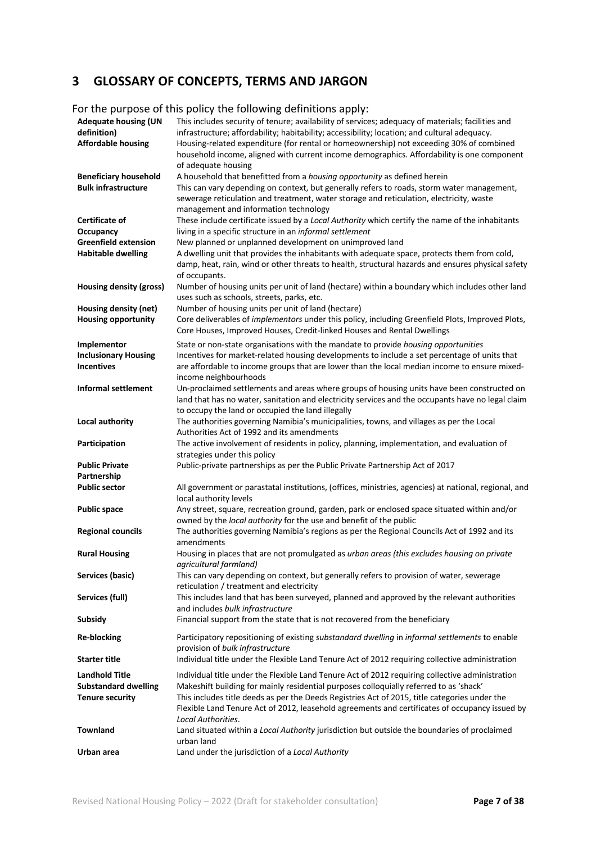# **3 GLOSSARY OF CONCEPTS, TERMS AND JARGON**

#### For the purpose of this policy the following definitions apply:

| <b>Adequate housing (UN</b><br>definition)<br><b>Affordable housing</b>        | This includes security of tenure; availability of services; adequacy of materials; facilities and<br>infrastructure; affordability; habitability; accessibility; location; and cultural adequacy.<br>Housing-related expenditure (for rental or homeownership) not exceeding 30% of combined<br>household income, aligned with current income demographics. Affordability is one component<br>of adequate housing  |
|--------------------------------------------------------------------------------|--------------------------------------------------------------------------------------------------------------------------------------------------------------------------------------------------------------------------------------------------------------------------------------------------------------------------------------------------------------------------------------------------------------------|
| <b>Beneficiary household</b><br><b>Bulk infrastructure</b>                     | A household that benefitted from a housing opportunity as defined herein<br>This can vary depending on context, but generally refers to roads, storm water management,<br>sewerage reticulation and treatment, water storage and reticulation, electricity, waste<br>management and information technology                                                                                                         |
| Certificate of                                                                 | These include certificate issued by a Local Authority which certify the name of the inhabitants                                                                                                                                                                                                                                                                                                                    |
| Occupancy                                                                      | living in a specific structure in an informal settlement                                                                                                                                                                                                                                                                                                                                                           |
| <b>Greenfield extension</b><br><b>Habitable dwelling</b>                       | New planned or unplanned development on unimproved land<br>A dwelling unit that provides the inhabitants with adequate space, protects them from cold,<br>damp, heat, rain, wind or other threats to health, structural hazards and ensures physical safety<br>of occupants.                                                                                                                                       |
| Housing density (gross)                                                        | Number of housing units per unit of land (hectare) within a boundary which includes other land<br>uses such as schools, streets, parks, etc.                                                                                                                                                                                                                                                                       |
| Housing density (net)<br><b>Housing opportunity</b>                            | Number of housing units per unit of land (hectare)<br>Core deliverables of implementors under this policy, including Greenfield Plots, Improved Plots,<br>Core Houses, Improved Houses, Credit-linked Houses and Rental Dwellings                                                                                                                                                                                  |
| Implementor<br><b>Inclusionary Housing</b><br><b>Incentives</b>                | State or non-state organisations with the mandate to provide housing opportunities<br>Incentives for market-related housing developments to include a set percentage of units that<br>are affordable to income groups that are lower than the local median income to ensure mixed-<br>income neighbourhoods                                                                                                        |
| <b>Informal settlement</b>                                                     | Un-proclaimed settlements and areas where groups of housing units have been constructed on<br>land that has no water, sanitation and electricity services and the occupants have no legal claim<br>to occupy the land or occupied the land illegally                                                                                                                                                               |
| Local authority                                                                | The authorities governing Namibia's municipalities, towns, and villages as per the Local<br>Authorities Act of 1992 and its amendments                                                                                                                                                                                                                                                                             |
| Participation                                                                  | The active involvement of residents in policy, planning, implementation, and evaluation of<br>strategies under this policy                                                                                                                                                                                                                                                                                         |
| <b>Public Private</b>                                                          | Public-private partnerships as per the Public Private Partnership Act of 2017                                                                                                                                                                                                                                                                                                                                      |
| Partnership<br><b>Public sector</b>                                            | All government or parastatal institutions, (offices, ministries, agencies) at national, regional, and<br>local authority levels                                                                                                                                                                                                                                                                                    |
| <b>Public space</b>                                                            | Any street, square, recreation ground, garden, park or enclosed space situated within and/or<br>owned by the local authority for the use and benefit of the public                                                                                                                                                                                                                                                 |
| <b>Regional councils</b>                                                       | The authorities governing Namibia's regions as per the Regional Councils Act of 1992 and its<br>amendments                                                                                                                                                                                                                                                                                                         |
| <b>Rural Housing</b>                                                           | Housing in places that are not promulgated as urban areas (this excludes housing on private<br>agricultural farmland)                                                                                                                                                                                                                                                                                              |
| Services (basic)                                                               | This can vary depending on context, but generally refers to provision of water, sewerage<br>reticulation / treatment and electricity                                                                                                                                                                                                                                                                               |
| Services (full)<br><b>Subsidy</b>                                              | This includes land that has been surveyed, planned and approved by the relevant authorities<br>and includes bulk infrastructure<br>Financial support from the state that is not recovered from the beneficiary                                                                                                                                                                                                     |
|                                                                                |                                                                                                                                                                                                                                                                                                                                                                                                                    |
| <b>Re-blocking</b>                                                             | Participatory repositioning of existing substandard dwelling in informal settlements to enable<br>provision of bulk infrastructure                                                                                                                                                                                                                                                                                 |
| <b>Starter title</b>                                                           | Individual title under the Flexible Land Tenure Act of 2012 requiring collective administration                                                                                                                                                                                                                                                                                                                    |
| <b>Landhold Title</b><br><b>Substandard dwelling</b><br><b>Tenure security</b> | Individual title under the Flexible Land Tenure Act of 2012 requiring collective administration<br>Makeshift building for mainly residential purposes colloquially referred to as 'shack'<br>This includes title deeds as per the Deeds Registries Act of 2015, title categories under the<br>Flexible Land Tenure Act of 2012, leasehold agreements and certificates of occupancy issued by<br>Local Authorities. |
| <b>Townland</b>                                                                | Land situated within a Local Authority jurisdiction but outside the boundaries of proclaimed<br>urban land                                                                                                                                                                                                                                                                                                         |
| Urban area                                                                     | Land under the jurisdiction of a Local Authority                                                                                                                                                                                                                                                                                                                                                                   |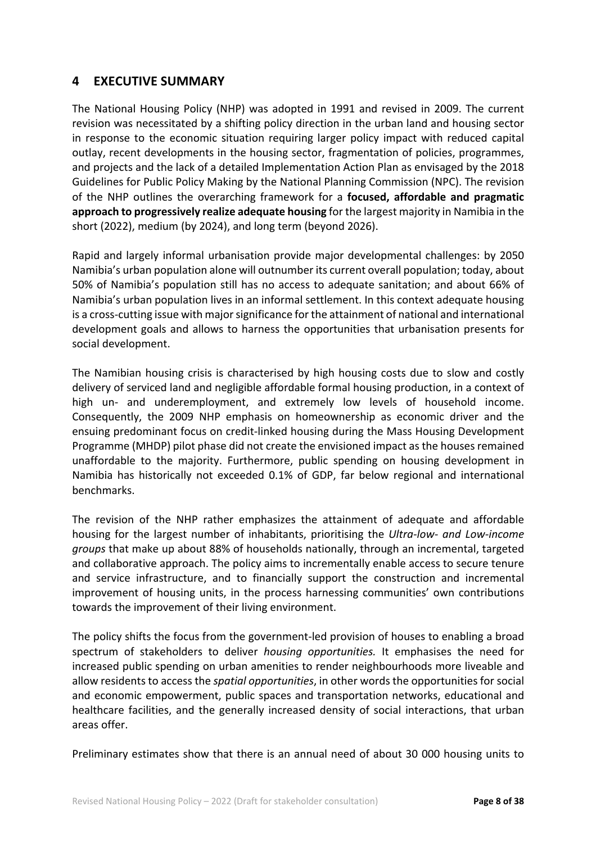## **4 EXECUTIVE SUMMARY**

The National Housing Policy (NHP) was adopted in 1991 and revised in 2009. The current revision was necessitated by a shifting policy direction in the urban land and housing sector in response to the economic situation requiring larger policy impact with reduced capital outlay, recent developments in the housing sector, fragmentation of policies, programmes, and projects and the lack of a detailed Implementation Action Plan as envisaged by the 2018 Guidelines for Public Policy Making by the National Planning Commission (NPC). The revision of the NHP outlines the overarching framework for a **focused, affordable and pragmatic approach to progressively realize adequate housing** for the largest majority in Namibia in the short (2022), medium (by 2024), and long term (beyond 2026).

Rapid and largely informal urbanisation provide major developmental challenges: by 2050 Namibia's urban population alone will outnumber its current overall population; today, about 50% of Namibia's population still has no access to adequate sanitation; and about 66% of Namibia's urban population lives in an informal settlement. In this context adequate housing is a cross-cutting issue with major significance for the attainment of national and international development goals and allows to harness the opportunities that urbanisation presents for social development.

The Namibian housing crisis is characterised by high housing costs due to slow and costly delivery of serviced land and negligible affordable formal housing production, in a context of high un- and underemployment, and extremely low levels of household income. Consequently, the 2009 NHP emphasis on homeownership as economic driver and the ensuing predominant focus on credit-linked housing during the Mass Housing Development Programme (MHDP) pilot phase did not create the envisioned impact as the houses remained unaffordable to the majority. Furthermore, public spending on housing development in Namibia has historically not exceeded 0.1% of GDP, far below regional and international benchmarks.

The revision of the NHP rather emphasizes the attainment of adequate and affordable housing for the largest number of inhabitants, prioritising the *Ultra-low- and Low-income groups* that make up about 88% of households nationally, through an incremental, targeted and collaborative approach. The policy aims to incrementally enable access to secure tenure and service infrastructure, and to financially support the construction and incremental improvement of housing units, in the process harnessing communities' own contributions towards the improvement of their living environment.

The policy shifts the focus from the government-led provision of houses to enabling a broad spectrum of stakeholders to deliver *housing opportunities.* It emphasises the need for increased public spending on urban amenities to render neighbourhoods more liveable and allow residents to access the *spatial opportunities*, in other words the opportunities for social and economic empowerment, public spaces and transportation networks, educational and healthcare facilities, and the generally increased density of social interactions, that urban areas offer.

Preliminary estimates show that there is an annual need of about 30 000 housing units to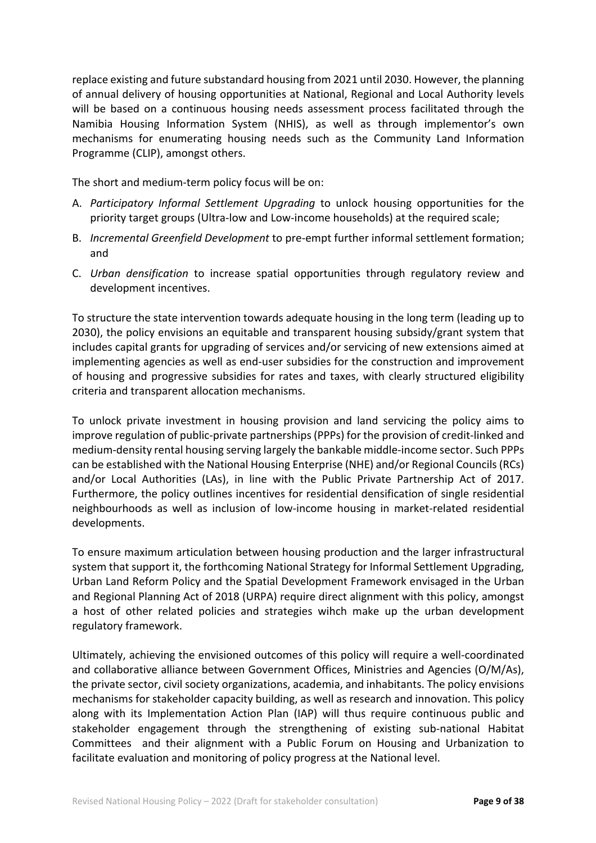replace existing and future substandard housing from 2021 until 2030. However, the planning of annual delivery of housing opportunities at National, Regional and Local Authority levels will be based on a continuous housing needs assessment process facilitated through the Namibia Housing Information System (NHIS), as well as through implementor's own mechanisms for enumerating housing needs such as the Community Land Information Programme (CLIP), amongst others.

The short and medium-term policy focus will be on:

- A. *Participatory Informal Settlement Upgrading* to unlock housing opportunities for the priority target groups (Ultra-low and Low-income households) at the required scale;
- B. *Incremental Greenfield Development* to pre-empt further informal settlement formation; and
- C. *Urban densification* to increase spatial opportunities through regulatory review and development incentives.

To structure the state intervention towards adequate housing in the long term (leading up to 2030), the policy envisions an equitable and transparent housing subsidy/grant system that includes capital grants for upgrading of services and/or servicing of new extensions aimed at implementing agencies as well as end-user subsidies for the construction and improvement of housing and progressive subsidies for rates and taxes, with clearly structured eligibility criteria and transparent allocation mechanisms.

To unlock private investment in housing provision and land servicing the policy aims to improve regulation of public-private partnerships(PPPs) for the provision of credit-linked and medium-density rental housing serving largely the bankable middle-income sector. Such PPPs can be established with the National Housing Enterprise (NHE) and/or Regional Councils (RCs) and/or Local Authorities (LAs), in line with the Public Private Partnership Act of 2017. Furthermore, the policy outlines incentives for residential densification of single residential neighbourhoods as well as inclusion of low-income housing in market-related residential developments.

To ensure maximum articulation between housing production and the larger infrastructural system that support it, the forthcoming National Strategy for Informal Settlement Upgrading, Urban Land Reform Policy and the Spatial Development Framework envisaged in the Urban and Regional Planning Act of 2018 (URPA) require direct alignment with this policy, amongst a host of other related policies and strategies wihch make up the urban development regulatory framework.

Ultimately, achieving the envisioned outcomes of this policy will require a well-coordinated and collaborative alliance between Government Offices, Ministries and Agencies (O/M/As), the private sector, civil society organizations, academia, and inhabitants. The policy envisions mechanisms for stakeholder capacity building, as well as research and innovation. This policy along with its Implementation Action Plan (IAP) will thus require continuous public and stakeholder engagement through the strengthening of existing sub-national Habitat Committees and their alignment with a Public Forum on Housing and Urbanization to facilitate evaluation and monitoring of policy progress at the National level.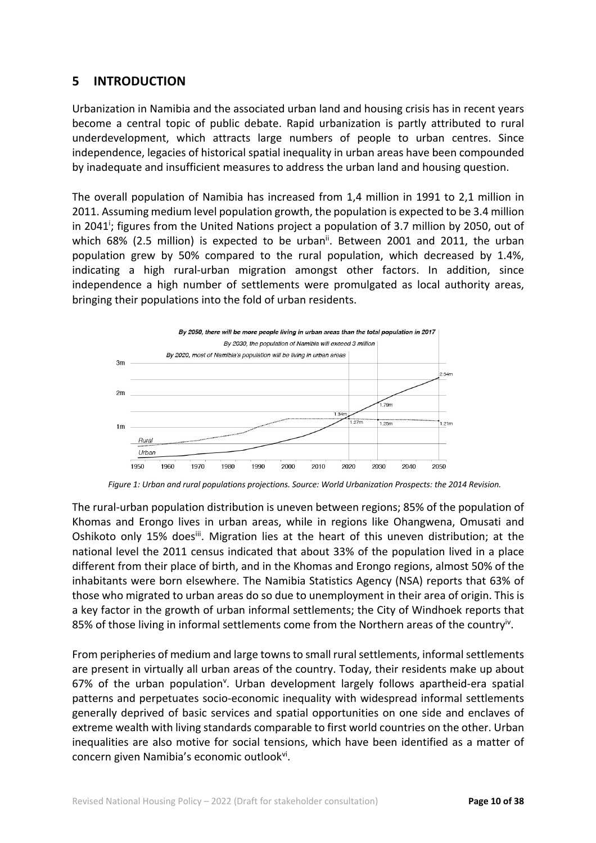## **5 INTRODUCTION**

Urbanization in Namibia and the associated urban land and housing crisis has in recent years become a central topic of public debate. Rapid urbanization is partly attributed to rural underdevelopment, which attracts large numbers of people to urban centres. Since independence, legacies of historical spatial inequality in urban areas have been compounded by inadequate and insufficient measures to address the urban land and housing question.

The overall population of Namibia has increased from 1,4 million in 1991 to 2,1 million in 2011. Assuming medium level population growth, the population is expected to be 3.4 million in 2041<sup>;</sup> figures from the United Nations project a population of 3.7 million by 2050, out of which  $68\%$  (2.5 million) is expected to be urban<sup>ii</sup>. Between 2001 and 2011, the urban population grew by 50% compared to the rural population, which decreased by 1.4%, indicating a high rural-urban migration amongst other factors. In addition, since independence a high number of settlements were promulgated as local authority areas, bringing their populations into the fold of urban residents.



*Figure 1: Urban and rural populations projections. Source: World Urbanization Prospects: the 2014 Revision.*

The rural-urban population distribution is uneven between regions; 85% of the population of Khomas and Erongo lives in urban areas, while in regions like Ohangwena, Omusati and Oshikoto only 15% doesiii. Migration lies at the heart of this uneven distribution; at the national level the 2011 census indicated that about 33% of the population lived in a place different from their place of birth, and in the Khomas and Erongo regions, almost 50% of the inhabitants were born elsewhere. The Namibia Statistics Agency (NSA) reports that 63% of those who migrated to urban areas do so due to unemployment in their area of origin. This is a key factor in the growth of urban informal settlements; the City of Windhoek reports that 85% of those living in informal settlements come from the Northern areas of the country<sup>iv</sup>.

From peripheries of medium and large towns to small rural settlements, informal settlements are present in virtually all urban areas of the country. Today, their residents make up about 67% of the urban population<sup>v</sup>. Urban development largely follows apartheid-era spatial patterns and perpetuates socio-economic inequality with widespread informal settlements generally deprived of basic services and spatial opportunities on one side and enclaves of extreme wealth with living standards comparable to first world countries on the other. Urban inequalities are also motive for social tensions, which have been identified as a matter of concern given Namibia's economic outlook<sup>vi</sup>.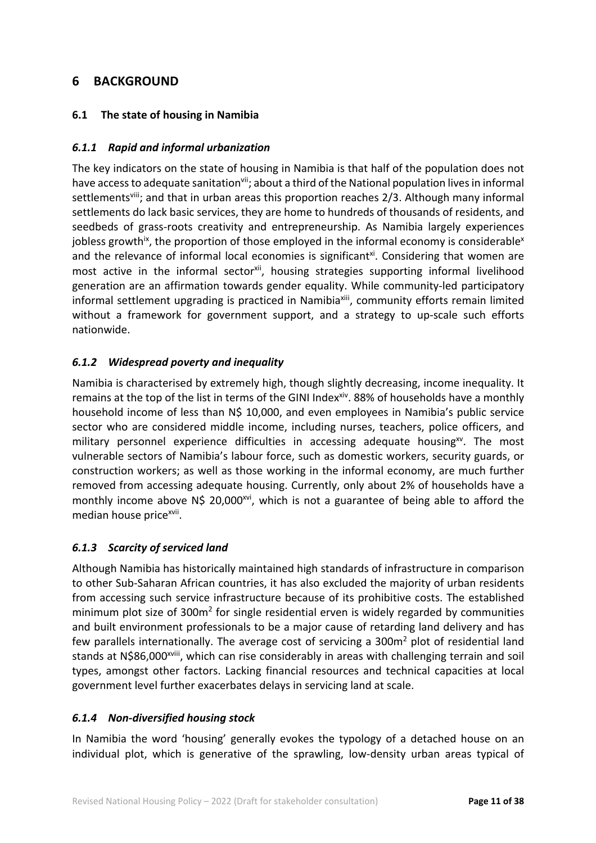# **6 BACKGROUND**

## **6.1 The state of housing in Namibia**

## *6.1.1 Rapid and informal urbanization*

The key indicators on the state of housing in Namibia is that half of the population does not have access to adequate sanitation<sup>vii</sup>; about a third of the National population lives in informal settlements<sup>viii</sup>; and that in urban areas this proportion reaches 2/3. Although many informal settlements do lack basic services, they are home to hundreds of thousands of residents, and seedbeds of grass-roots creativity and entrepreneurship. As Namibia largely experiences jobless growth<sup>ix</sup>, the proportion of those employed in the informal economy is considerable<sup>x</sup> and the relevance of informal local economies is significant<sup>xi</sup>. Considering that women are most active in the informal sector<sup>xii</sup>, housing strategies supporting informal livelihood generation are an affirmation towards gender equality. While community-led participatory informal settlement upgrading is practiced in Namibiaxiii, community efforts remain limited without a framework for government support, and a strategy to up-scale such efforts nationwide.

## *6.1.2 Widespread poverty and inequality*

Namibia is characterised by extremely high, though slightly decreasing, income inequality. It remains at the top of the list in terms of the GINI Index<sup>xiv</sup>. 88% of households have a monthly household income of less than N\$ 10,000, and even employees in Namibia's public service sector who are considered middle income, including nurses, teachers, police officers, and military personnel experience difficulties in accessing adequate housing $^{xy}$ . The most vulnerable sectors of Namibia's labour force, such as domestic workers, security guards, or construction workers; as well as those working in the informal economy, are much further removed from accessing adequate housing. Currently, only about 2% of households have a monthly income above N\$ 20,000<sup>xvi</sup>, which is not a guarantee of being able to afford the median house price<sup>xvii</sup>.

## *6.1.3 Scarcity of serviced land*

Although Namibia has historically maintained high standards of infrastructure in comparison to other Sub-Saharan African countries, it has also excluded the majority of urban residents from accessing such service infrastructure because of its prohibitive costs. The established minimum plot size of 300m<sup>2</sup> for single residential erven is widely regarded by communities and built environment professionals to be a major cause of retarding land delivery and has few parallels internationally. The average cost of servicing a 300m<sup>2</sup> plot of residential land stands at N\$86,000<sup>xviii</sup>, which can rise considerably in areas with challenging terrain and soil types, amongst other factors. Lacking financial resources and technical capacities at local government level further exacerbates delays in servicing land at scale.

## *6.1.4 Non-diversified housing stock*

In Namibia the word 'housing' generally evokes the typology of a detached house on an individual plot, which is generative of the sprawling, low-density urban areas typical of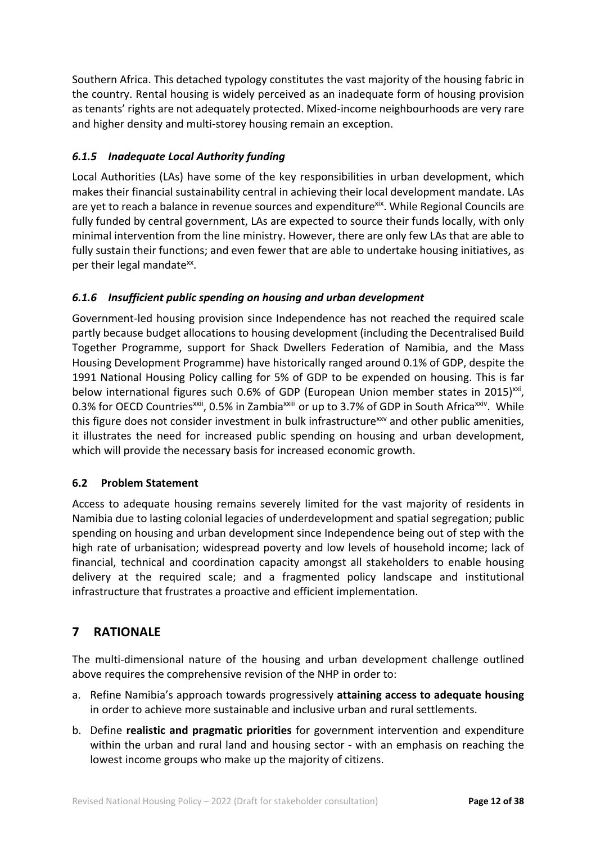Southern Africa. This detached typology constitutes the vast majority of the housing fabric in the country. Rental housing is widely perceived as an inadequate form of housing provision as tenants' rights are not adequately protected. Mixed-income neighbourhoods are very rare and higher density and multi-storey housing remain an exception.

## *6.1.5 Inadequate Local Authority funding*

Local Authorities (LAs) have some of the key responsibilities in urban development, which makes their financial sustainability central in achieving their local development mandate. LAs are yet to reach a balance in revenue sources and expenditure<sup>xix</sup>. While Regional Councils are fully funded by central government, LAs are expected to source their funds locally, with only minimal intervention from the line ministry. However, there are only few LAs that are able to fully sustain their functions; and even fewer that are able to undertake housing initiatives, as per their legal mandate<sup>xx</sup>.

## *6.1.6 Insufficient public spending on housing and urban development*

Government-led housing provision since Independence has not reached the required scale partly because budget allocations to housing development (including the Decentralised Build Together Programme, support for Shack Dwellers Federation of Namibia, and the Mass Housing Development Programme) have historically ranged around 0.1% of GDP, despite the 1991 National Housing Policy calling for 5% of GDP to be expended on housing. This is far below international figures such 0.6% of GDP (European Union member states in 2015) $\frac{xx}{y}$ , 0.3% for OECD Countries<sup>xxii</sup>, 0.5% in Zambia<sup>xxiii</sup> or up to 3.7% of GDP in South Africa<sup>xxiv</sup>. While this figure does not consider investment in bulk infrastructure<sup>xxv</sup> and other public amenities, it illustrates the need for increased public spending on housing and urban development, which will provide the necessary basis for increased economic growth.

## **6.2 Problem Statement**

Access to adequate housing remains severely limited for the vast majority of residents in Namibia due to lasting colonial legacies of underdevelopment and spatial segregation; public spending on housing and urban development since Independence being out of step with the high rate of urbanisation; widespread poverty and low levels of household income; lack of financial, technical and coordination capacity amongst all stakeholders to enable housing delivery at the required scale; and a fragmented policy landscape and institutional infrastructure that frustrates a proactive and efficient implementation.

# **7 RATIONALE**

The multi-dimensional nature of the housing and urban development challenge outlined above requires the comprehensive revision of the NHP in order to:

- a. Refine Namibia's approach towards progressively **attaining access to adequate housing** in order to achieve more sustainable and inclusive urban and rural settlements.
- b. Define **realistic and pragmatic priorities** for government intervention and expenditure within the urban and rural land and housing sector - with an emphasis on reaching the lowest income groups who make up the majority of citizens.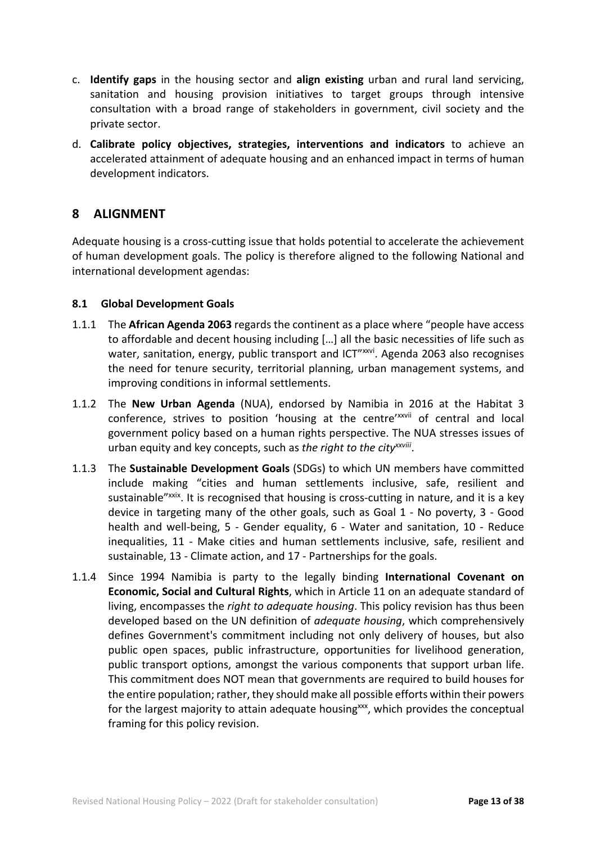- c. **Identify gaps** in the housing sector and **align existing** urban and rural land servicing, sanitation and housing provision initiatives to target groups through intensive consultation with a broad range of stakeholders in government, civil society and the private sector.
- d. **Calibrate policy objectives, strategies, interventions and indicators** to achieve an accelerated attainment of adequate housing and an enhanced impact in terms of human development indicators.

## **8 ALIGNMENT**

Adequate housing is a cross-cutting issue that holds potential to accelerate the achievement of human development goals. The policy is therefore aligned to the following National and international development agendas:

#### **8.1 Global Development Goals**

- 1.1.1 The **African Agenda 2063** regards the continent as a place where "people have access to affordable and decent housing including […] all the basic necessities of life such as water, sanitation, energy, public transport and ICT"xxvi. Agenda 2063 also recognises the need for tenure security, territorial planning, urban management systems, and improving conditions in informal settlements.
- 1.1.2 The **New Urban Agenda** (NUA), endorsed by Namibia in 2016 at the Habitat 3 conference, strives to position 'housing at the centre'xxvii of central and local government policy based on a human rights perspective. The NUA stresses issues of urban equity and key concepts, such as *the right to the cityxxviii*.
- 1.1.3 The **Sustainable Development Goals** (SDGs) to which UN members have committed include making "cities and human settlements inclusive, safe, resilient and sustainable"xxix. It is recognised that housing is cross-cutting in nature, and it is a key device in targeting many of the other goals, such as Goal 1 - No poverty, 3 - Good health and well-being, 5 - Gender equality, 6 - Water and sanitation, 10 - Reduce inequalities, 11 - Make cities and human settlements inclusive, safe, resilient and sustainable, 13 - Climate action, and 17 - Partnerships for the goals.
- 1.1.4 Since 1994 Namibia is party to the legally binding **International Covenant on Economic, Social and Cultural Rights**, which in Article 11 on an adequate standard of living, encompasses the *right to adequate housing*. This policy revision has thus been developed based on the UN definition of *adequate housing*, which comprehensively defines Government's commitment including not only delivery of houses, but also public open spaces, public infrastructure, opportunities for livelihood generation, public transport options, amongst the various components that support urban life. This commitment does NOT mean that governments are required to build houses for the entire population; rather, they should make all possible efforts within their powers for the largest majority to attain adequate housing<sup>xxx</sup>, which provides the conceptual framing for this policy revision.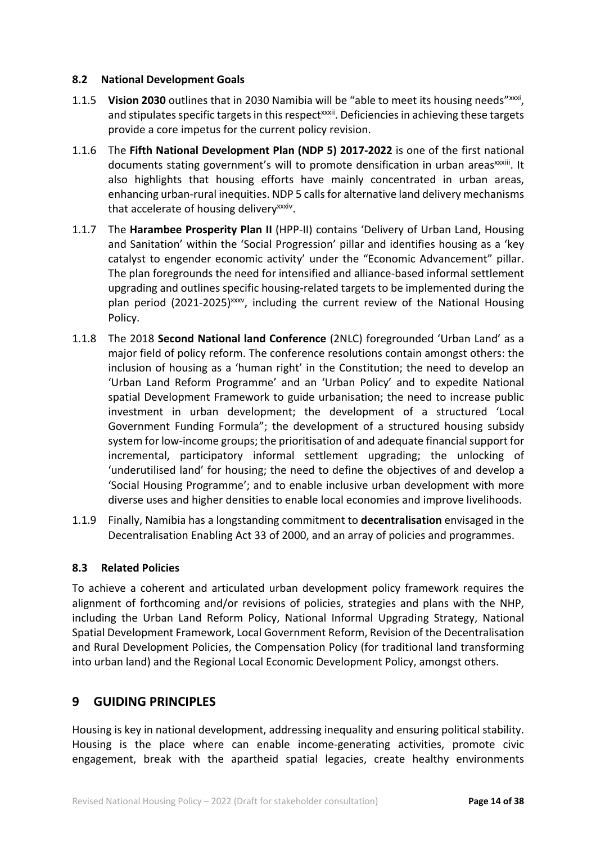#### **8.2 National Development Goals**

- 1.1.5 **Vision 2030** outlines that in 2030 Namibia will be "able to meet its housing needs"<sup>xxxi</sup>, and stipulates specific targets in this respect<sup>xxxii</sup>. Deficiencies in achieving these targets provide a core impetus for the current policy revision.
- 1.1.6 The **Fifth National Development Plan (NDP 5) 2017-2022** is one of the first national documents stating government's will to promote densification in urban areas<sup>xxxiii</sup>. It also highlights that housing efforts have mainly concentrated in urban areas, enhancing urban-rural inequities. NDP 5 calls for alternative land delivery mechanisms that accelerate of housing delivery<sup>xxxiv</sup>.
- 1.1.7 The **Harambee Prosperity Plan II** (HPP-II) contains 'Delivery of Urban Land, Housing and Sanitation' within the 'Social Progression' pillar and identifies housing as a 'key catalyst to engender economic activity' under the "Economic Advancement" pillar. The plan foregrounds the need for intensified and alliance-based informal settlement upgrading and outlines specific housing-related targets to be implemented during the plan period (2021-2025)<sup>xxxv</sup>, including the current review of the National Housing Policy.
- 1.1.8 The 2018 **Second National land Conference** (2NLC) foregrounded 'Urban Land' as a major field of policy reform. The conference resolutions contain amongst others: the inclusion of housing as a 'human right' in the Constitution; the need to develop an 'Urban Land Reform Programme' and an 'Urban Policy' and to expedite National spatial Development Framework to guide urbanisation; the need to increase public investment in urban development; the development of a structured 'Local Government Funding Formula"; the development of a structured housing subsidy system for low-income groups; the prioritisation of and adequate financial support for incremental, participatory informal settlement upgrading; the unlocking of 'underutilised land' for housing; the need to define the objectives of and develop a 'Social Housing Programme'; and to enable inclusive urban development with more diverse uses and higher densities to enable local economies and improve livelihoods.
- 1.1.9 Finally, Namibia has a longstanding commitment to **decentralisation** envisaged in the Decentralisation Enabling Act 33 of 2000, and an array of policies and programmes.

#### **8.3 Related Policies**

To achieve a coherent and articulated urban development policy framework requires the alignment of forthcoming and/or revisions of policies, strategies and plans with the NHP, including the Urban Land Reform Policy, National Informal Upgrading Strategy, National Spatial Development Framework, Local Government Reform, Revision of the Decentralisation and Rural Development Policies, the Compensation Policy (for traditional land transforming into urban land) and the Regional Local Economic Development Policy, amongst others.

## **9 GUIDING PRINCIPLES**

Housing is key in national development, addressing inequality and ensuring political stability. Housing is the place where can enable income-generating activities, promote civic engagement, break with the apartheid spatial legacies, create healthy environments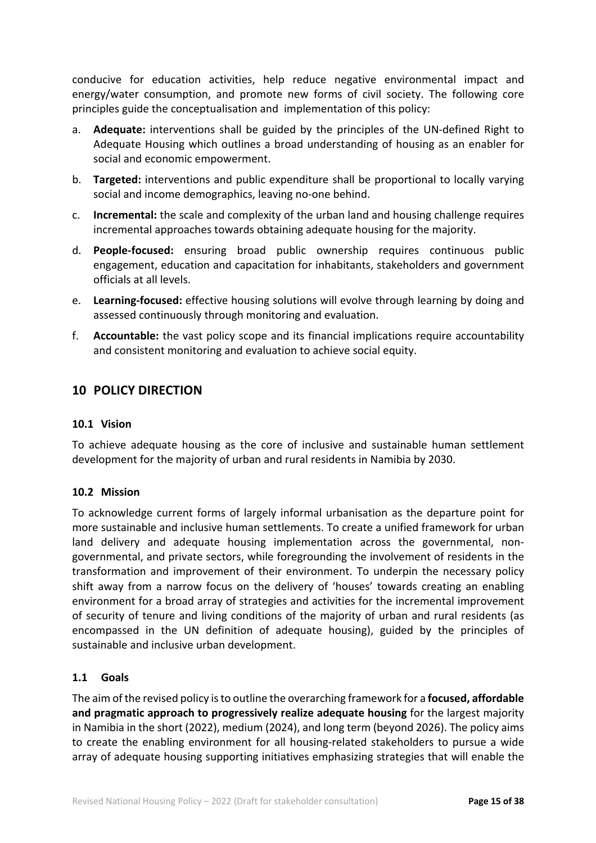conducive for education activities, help reduce negative environmental impact and energy/water consumption, and promote new forms of civil society. The following core principles guide the conceptualisation and implementation of this policy:

- a. **Adequate:** interventions shall be guided by the principles of the UN-defined Right to Adequate Housing which outlines a broad understanding of housing as an enabler for social and economic empowerment.
- b. **Targeted:** interventions and public expenditure shall be proportional to locally varying social and income demographics, leaving no-one behind.
- c. **Incremental:** the scale and complexity of the urban land and housing challenge requires incremental approaches towards obtaining adequate housing for the majority.
- d. **People-focused:** ensuring broad public ownership requires continuous public engagement, education and capacitation for inhabitants, stakeholders and government officials at all levels.
- e. **Learning-focused:** effective housing solutions will evolve through learning by doing and assessed continuously through monitoring and evaluation.
- f. **Accountable:** the vast policy scope and its financial implications require accountability and consistent monitoring and evaluation to achieve social equity.

# **10 POLICY DIRECTION**

#### **10.1 Vision**

To achieve adequate housing as the core of inclusive and sustainable human settlement development for the majority of urban and rural residents in Namibia by 2030.

#### **10.2 Mission**

To acknowledge current forms of largely informal urbanisation as the departure point for more sustainable and inclusive human settlements. To create a unified framework for urban land delivery and adequate housing implementation across the governmental, nongovernmental, and private sectors, while foregrounding the involvement of residents in the transformation and improvement of their environment. To underpin the necessary policy shift away from a narrow focus on the delivery of 'houses' towards creating an enabling environment for a broad array of strategies and activities for the incremental improvement of security of tenure and living conditions of the majority of urban and rural residents (as encompassed in the UN definition of adequate housing), guided by the principles of sustainable and inclusive urban development.

## **1.1 Goals**

The aim of the revised policy is to outline the overarching framework for a **focused, affordable and pragmatic approach to progressively realize adequate housing** for the largest majority in Namibia in the short (2022), medium (2024), and long term (beyond 2026). The policy aims to create the enabling environment for all housing-related stakeholders to pursue a wide array of adequate housing supporting initiatives emphasizing strategies that will enable the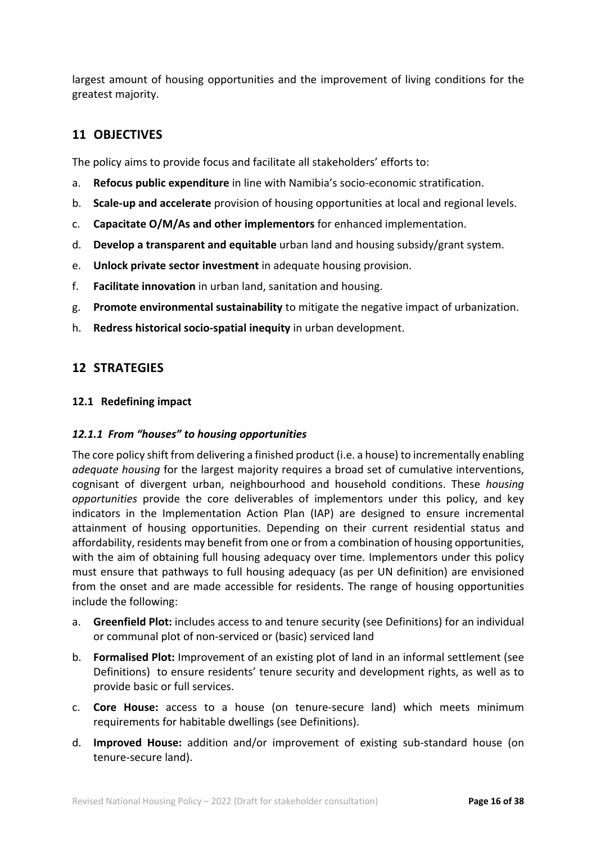largest amount of housing opportunities and the improvement of living conditions for the greatest majority.

# **11 OBJECTIVES**

The policy aims to provide focus and facilitate all stakeholders' efforts to:

- a. **Refocus public expenditure** in line with Namibia's socio-economic stratification.
- b. **Scale-up and accelerate** provision of housing opportunities at local and regional levels.
- c. **Capacitate O/M/As and other implementors** for enhanced implementation.
- d. **Develop a transparent and equitable** urban land and housing subsidy/grant system.
- e. **Unlock private sector investment** in adequate housing provision.
- f. **Facilitate innovation** in urban land, sanitation and housing.
- g. **Promote environmental sustainability** to mitigate the negative impact of urbanization.
- h. **Redress historical socio-spatial inequity** in urban development.

## **12 STRATEGIES**

#### **12.1 Redefining impact**

#### *12.1.1 From "houses" to housing opportunities*

The core policy shift from delivering a finished product (i.e. a house) to incrementally enabling *adequate housing* for the largest majority requires a broad set of cumulative interventions, cognisant of divergent urban, neighbourhood and household conditions. These *housing opportunities* provide the core deliverables of implementors under this policy, and key indicators in the Implementation Action Plan (IAP) are designed to ensure incremental attainment of housing opportunities. Depending on their current residential status and affordability, residents may benefit from one or from a combination of housing opportunities, with the aim of obtaining full housing adequacy over time. Implementors under this policy must ensure that pathways to full housing adequacy (as per UN definition) are envisioned from the onset and are made accessible for residents. The range of housing opportunities include the following:

- a. **Greenfield Plot:** includes access to and tenure security (see Definitions) for an individual or communal plot of non-serviced or (basic) serviced land
- b. **Formalised Plot:** Improvement of an existing plot of land in an informal settlement (see Definitions) to ensure residents' tenure security and development rights, as well as to provide basic or full services.
- c. **Core House:** access to a house (on tenure-secure land) which meets minimum requirements for habitable dwellings (see Definitions).
- d. **Improved House:** addition and/or improvement of existing sub-standard house (on tenure-secure land).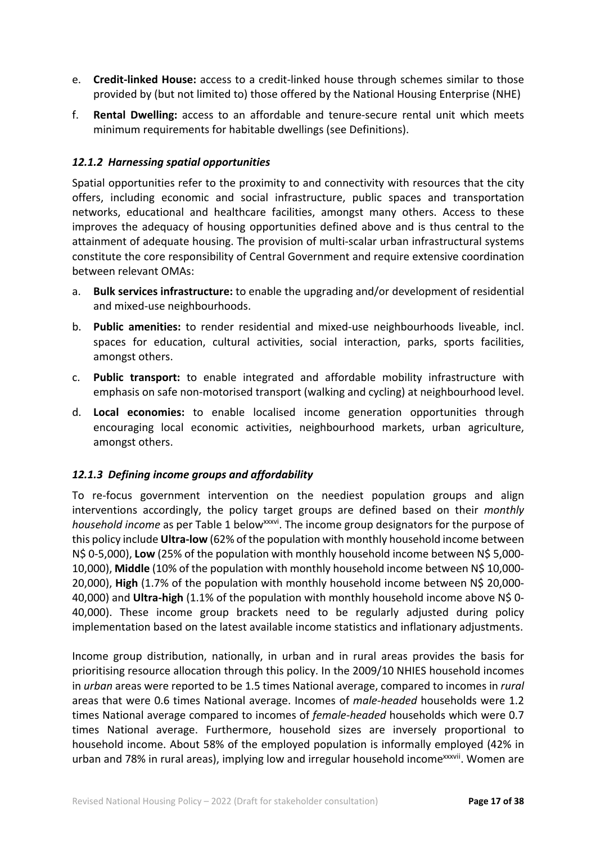- e. **Credit-linked House:** access to a credit-linked house through schemes similar to those provided by (but not limited to) those offered by the National Housing Enterprise (NHE)
- f. **Rental Dwelling:** access to an affordable and tenure-secure rental unit which meets minimum requirements for habitable dwellings (see Definitions).

## *12.1.2 Harnessing spatial opportunities*

Spatial opportunities refer to the proximity to and connectivity with resources that the city offers, including economic and social infrastructure, public spaces and transportation networks, educational and healthcare facilities, amongst many others. Access to these improves the adequacy of housing opportunities defined above and is thus central to the attainment of adequate housing. The provision of multi-scalar urban infrastructural systems constitute the core responsibility of Central Government and require extensive coordination between relevant OMAs:

- a. **Bulk services infrastructure:** to enable the upgrading and/or development of residential and mixed-use neighbourhoods.
- b. **Public amenities:** to render residential and mixed-use neighbourhoods liveable, incl. spaces for education, cultural activities, social interaction, parks, sports facilities, amongst others.
- c. **Public transport:** to enable integrated and affordable mobility infrastructure with emphasis on safe non-motorised transport (walking and cycling) at neighbourhood level.
- d. **Local economies:** to enable localised income generation opportunities through encouraging local economic activities, neighbourhood markets, urban agriculture, amongst others.

#### *12.1.3 Defining income groups and affordability*

To re-focus government intervention on the neediest population groups and align interventions accordingly, the policy target groups are defined based on their *monthly household income* as per Table 1 below<sup>xxxvi</sup>. The income group designators for the purpose of this policy include **Ultra-low** (62% of the population with monthly household income between N\$ 0-5,000), **Low** (25% of the population with monthly household income between N\$ 5,000- 10,000), **Middle** (10% of the population with monthly household income between N\$ 10,000- 20,000), **High** (1.7% of the population with monthly household income between N\$ 20,000- 40,000) and **Ultra-high** (1.1% of the population with monthly household income above N\$ 0- 40,000). These income group brackets need to be regularly adjusted during policy implementation based on the latest available income statistics and inflationary adjustments.

Income group distribution, nationally, in urban and in rural areas provides the basis for prioritising resource allocation through this policy. In the 2009/10 NHIES household incomes in *urban* areas were reported to be 1.5 times National average, compared to incomes in *rural* areas that were 0.6 times National average. Incomes of *male-headed* households were 1.2 times National average compared to incomes of *female-headed* households which were 0.7 times National average. Furthermore, household sizes are inversely proportional to household income. About 58% of the employed population is informally employed (42% in urban and 78% in rural areas), implying low and irregular household income<sup>xxxvii</sup>. Women are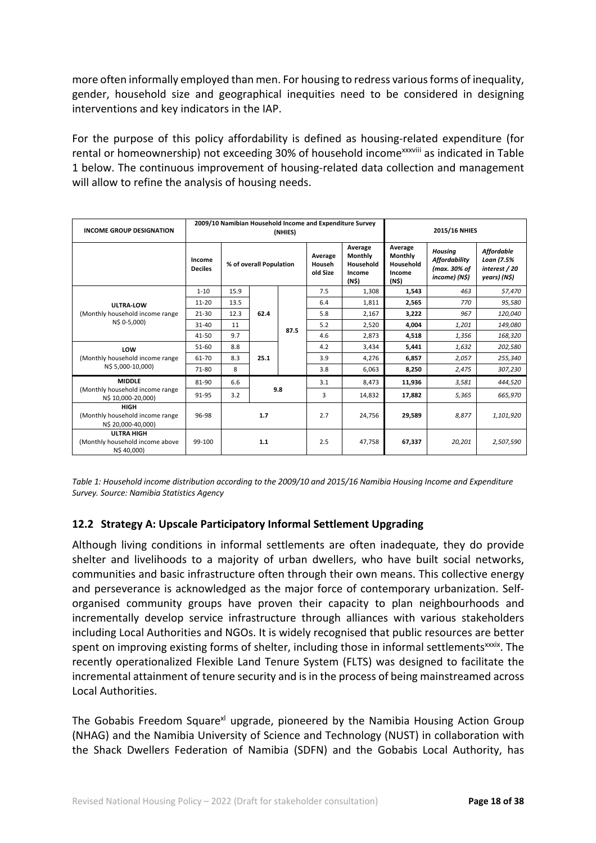more often informally employed than men. For housing to redress various forms of inequality, gender, household size and geographical inequities need to be considered in designing interventions and key indicators in the IAP.

For the purpose of this policy affordability is defined as housing-related expenditure (for rental or homeownership) not exceeding 30% of household income<sup>xxxviii</sup> as indicated in Table 1 below. The continuous improvement of housing-related data collection and management will allow to refine the analysis of housing needs.

| <b>INCOME GROUP DESIGNATION</b>                                      |                          | 2009/10 Namibian Household Income and Expenditure Survey |      | (NHIES) | 2015/16 NHIES                                                                                                                             |        |                                                                         |                                                                  |           |
|----------------------------------------------------------------------|--------------------------|----------------------------------------------------------|------|---------|-------------------------------------------------------------------------------------------------------------------------------------------|--------|-------------------------------------------------------------------------|------------------------------------------------------------------|-----------|
|                                                                      | Income<br><b>Deciles</b> | % of overall Population                                  |      |         | Average<br>Average<br>Monthly<br>Average<br>Monthly<br>Household<br>Househ<br>Household<br>old Size<br>Income<br>Income<br>(N\$)<br>(N\$) |        | <b>Housing</b><br><b>Affordability</b><br>(max. 30% of<br>income) (N\$) | <b>Affordable</b><br>Loan (7.5%<br>interest / 20<br>years) (N\$) |           |
|                                                                      | $1 - 10$                 | 15.9                                                     |      |         | 7.5                                                                                                                                       | 1,308  | 1,543                                                                   | 463                                                              | 57,470    |
| ULTRA-LOW                                                            | $11 - 20$                | 13.5                                                     | 62.4 | 87.5    | 6.4                                                                                                                                       | 1,811  | 2,565                                                                   | 770                                                              | 95,580    |
| (Monthly household income range                                      | $21 - 30$                | 12.3                                                     |      |         | 5.8                                                                                                                                       | 2,167  | 3,222                                                                   | 967                                                              | 120,040   |
| N\$ 0-5,000)                                                         | $31 - 40$                | 11                                                       |      |         | 5.2                                                                                                                                       | 2,520  | 4,004                                                                   | 1,201                                                            | 149,080   |
|                                                                      | 41-50                    | 9.7                                                      |      |         | 4.6                                                                                                                                       | 2,873  | 4,518                                                                   | 1,356                                                            | 168,320   |
| LOW                                                                  | 51-60                    | 8.8                                                      | 25.1 |         | 4.2                                                                                                                                       | 3,434  | 5,441                                                                   | 1,632                                                            | 202,580   |
| (Monthly household income range                                      | 61-70                    | 8.3                                                      |      |         | 3.9                                                                                                                                       | 4,276  | 6,857                                                                   | 2,057                                                            | 255,340   |
| N\$ 5,000-10,000)                                                    | 71-80                    | 8                                                        |      |         | 3.8                                                                                                                                       | 6,063  | 8,250                                                                   | 2,475                                                            | 307,230   |
| <b>MIDDLE</b>                                                        | 81-90                    | 6.6                                                      | 9.8  |         | 3.1                                                                                                                                       | 8,473  | 11,936                                                                  | 3,581                                                            | 444,520   |
| (Monthly household income range<br>N\$ 10,000-20,000)                | 91-95                    | 3.2                                                      |      |         | 3                                                                                                                                         | 14,832 | 17,882                                                                  | 5,365                                                            | 665,970   |
| <b>HIGH</b><br>(Monthly household income range<br>N\$ 20,000-40,000) | 96-98                    |                                                          | 1.7  |         |                                                                                                                                           | 24,756 | 29,589                                                                  | 8,877                                                            | 1,101,920 |
| <b>ULTRA HIGH</b><br>(Monthly household income above<br>N\$40,000)   | 99-100                   | 1.1                                                      |      |         | 2.5                                                                                                                                       | 47,758 | 67,337                                                                  | 20,201                                                           | 2,507,590 |

*Table 1: Household income distribution according to the 2009/10 and 2015/16 Namibia Housing Income and Expenditure Survey. Source: Namibia Statistics Agency*

#### **12.2 Strategy A: Upscale Participatory Informal Settlement Upgrading**

Although living conditions in informal settlements are often inadequate, they do provide shelter and livelihoods to a majority of urban dwellers, who have built social networks, communities and basic infrastructure often through their own means. This collective energy and perseverance is acknowledged as the major force of contemporary urbanization. Selforganised community groups have proven their capacity to plan neighbourhoods and incrementally develop service infrastructure through alliances with various stakeholders including Local Authorities and NGOs. It is widely recognised that public resources are better spent on improving existing forms of shelter, including those in informal settlements $\frac{x}{x}$ . The recently operationalized Flexible Land Tenure System (FLTS) was designed to facilitate the incremental attainment of tenure security and is in the process of being mainstreamed across Local Authorities.

The Gobabis Freedom Square<sup>xl</sup> upgrade, pioneered by the Namibia Housing Action Group (NHAG) and the Namibia University of Science and Technology (NUST) in collaboration with the Shack Dwellers Federation of Namibia (SDFN) and the Gobabis Local Authority, has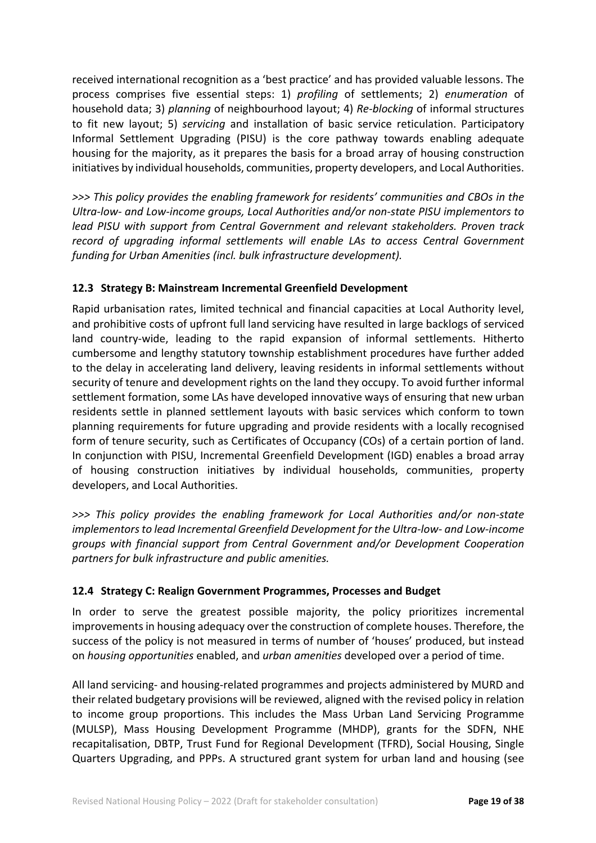received international recognition as a 'best practice' and has provided valuable lessons. The process comprises five essential steps: 1) *profiling* of settlements; 2) *enumeration* of household data; 3) *planning* of neighbourhood layout; 4) *Re-blocking* of informal structures to fit new layout; 5) *servicing* and installation of basic service reticulation. Participatory Informal Settlement Upgrading (PISU) is the core pathway towards enabling adequate housing for the majority, as it prepares the basis for a broad array of housing construction initiatives by individual households, communities, property developers, and Local Authorities.

*>>> This policy provides the enabling framework for residents' communities and CBOs in the Ultra-low- and Low-income groups, Local Authorities and/or non-state PISU implementors to lead PISU with support from Central Government and relevant stakeholders. Proven track record of upgrading informal settlements will enable LAs to access Central Government funding for Urban Amenities (incl. bulk infrastructure development).*

## **12.3 Strategy B: Mainstream Incremental Greenfield Development**

Rapid urbanisation rates, limited technical and financial capacities at Local Authority level, and prohibitive costs of upfront full land servicing have resulted in large backlogs of serviced land country-wide, leading to the rapid expansion of informal settlements. Hitherto cumbersome and lengthy statutory township establishment procedures have further added to the delay in accelerating land delivery, leaving residents in informal settlements without security of tenure and development rights on the land they occupy. To avoid further informal settlement formation, some LAs have developed innovative ways of ensuring that new urban residents settle in planned settlement layouts with basic services which conform to town planning requirements for future upgrading and provide residents with a locally recognised form of tenure security, such as Certificates of Occupancy (COs) of a certain portion of land. In conjunction with PISU, Incremental Greenfield Development (IGD) enables a broad array of housing construction initiatives by individual households, communities, property developers, and Local Authorities.

*>>> This policy provides the enabling framework for Local Authorities and/or non-state implementors to lead Incremental Greenfield Development for the Ultra-low- and Low-income groups with financial support from Central Government and/or Development Cooperation partners for bulk infrastructure and public amenities.*

#### **12.4 Strategy C: Realign Government Programmes, Processes and Budget**

In order to serve the greatest possible majority, the policy prioritizes incremental improvements in housing adequacy over the construction of complete houses. Therefore, the success of the policy is not measured in terms of number of 'houses' produced, but instead on *housing opportunities* enabled, and *urban amenities* developed over a period of time.

All land servicing- and housing-related programmes and projects administered by MURD and their related budgetary provisions will be reviewed, aligned with the revised policy in relation to income group proportions. This includes the Mass Urban Land Servicing Programme (MULSP), Mass Housing Development Programme (MHDP), grants for the SDFN, NHE recapitalisation, DBTP, Trust Fund for Regional Development (TFRD), Social Housing, Single Quarters Upgrading, and PPPs. A structured grant system for urban land and housing (see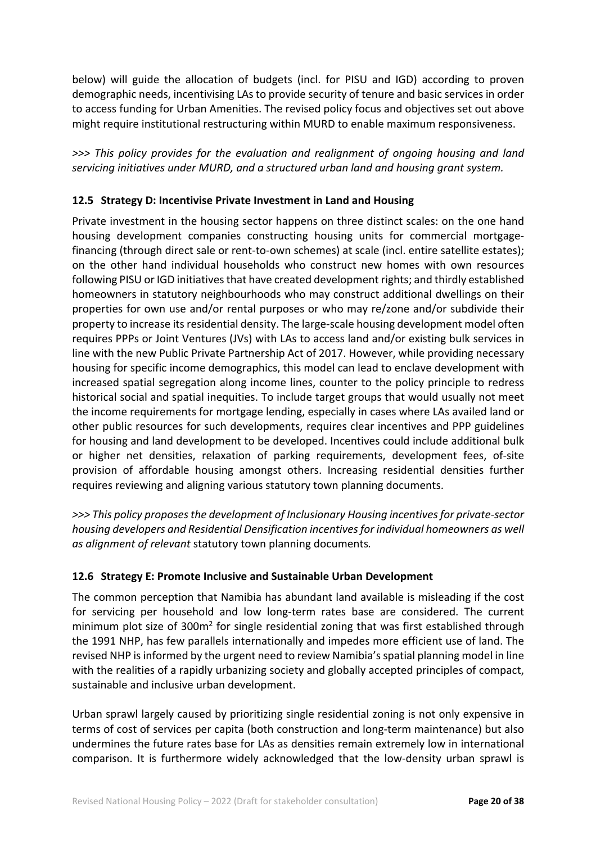below) will guide the allocation of budgets (incl. for PISU and IGD) according to proven demographic needs, incentivising LAs to provide security of tenure and basic services in order to access funding for Urban Amenities. The revised policy focus and objectives set out above might require institutional restructuring within MURD to enable maximum responsiveness.

*>>> This policy provides for the evaluation and realignment of ongoing housing and land servicing initiatives under MURD, and a structured urban land and housing grant system.*

## **12.5 Strategy D: Incentivise Private Investment in Land and Housing**

Private investment in the housing sector happens on three distinct scales: on the one hand housing development companies constructing housing units for commercial mortgagefinancing (through direct sale or rent-to-own schemes) at scale (incl. entire satellite estates); on the other hand individual households who construct new homes with own resources following PISU or IGD initiatives that have created development rights; and thirdly established homeowners in statutory neighbourhoods who may construct additional dwellings on their properties for own use and/or rental purposes or who may re/zone and/or subdivide their property to increase its residential density. The large-scale housing development model often requires PPPs or Joint Ventures (JVs) with LAs to access land and/or existing bulk services in line with the new Public Private Partnership Act of 2017. However, while providing necessary housing for specific income demographics, this model can lead to enclave development with increased spatial segregation along income lines, counter to the policy principle to redress historical social and spatial inequities. To include target groups that would usually not meet the income requirements for mortgage lending, especially in cases where LAs availed land or other public resources for such developments, requires clear incentives and PPP guidelines for housing and land development to be developed. Incentives could include additional bulk or higher net densities, relaxation of parking requirements, development fees, of-site provision of affordable housing amongst others. Increasing residential densities further requires reviewing and aligning various statutory town planning documents.

*>>> This policy proposes the development of Inclusionary Housing incentives for private-sector housing developers and Residential Densification incentives for individual homeowners as well as alignment of relevant* statutory town planning documents*.*

## **12.6 Strategy E: Promote Inclusive and Sustainable Urban Development**

The common perception that Namibia has abundant land available is misleading if the cost for servicing per household and low long-term rates base are considered. The current minimum plot size of 300m<sup>2</sup> for single residential zoning that was first established through the 1991 NHP, has few parallels internationally and impedes more efficient use of land. The revised NHP is informed by the urgent need to review Namibia's spatial planning model in line with the realities of a rapidly urbanizing society and globally accepted principles of compact, sustainable and inclusive urban development.

Urban sprawl largely caused by prioritizing single residential zoning is not only expensive in terms of cost of services per capita (both construction and long-term maintenance) but also undermines the future rates base for LAs as densities remain extremely low in international comparison. It is furthermore widely acknowledged that the low-density urban sprawl is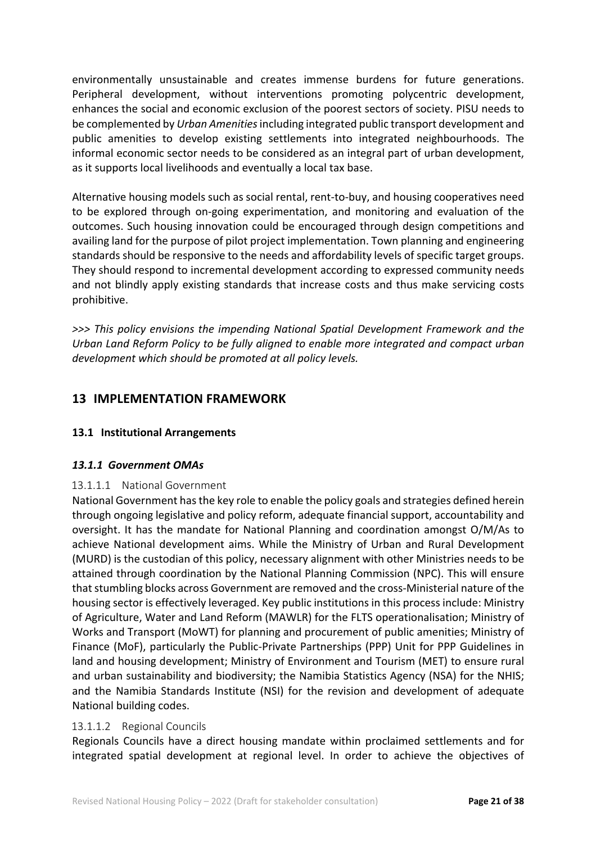environmentally unsustainable and creates immense burdens for future generations. Peripheral development, without interventions promoting polycentric development, enhances the social and economic exclusion of the poorest sectors of society. PISU needs to be complemented by *Urban Amenities*including integrated public transport development and public amenities to develop existing settlements into integrated neighbourhoods. The informal economic sector needs to be considered as an integral part of urban development, as it supports local livelihoods and eventually a local tax base.

Alternative housing models such as social rental, rent-to-buy, and housing cooperatives need to be explored through on-going experimentation, and monitoring and evaluation of the outcomes. Such housing innovation could be encouraged through design competitions and availing land for the purpose of pilot project implementation. Town planning and engineering standards should be responsive to the needs and affordability levels of specific target groups. They should respond to incremental development according to expressed community needs and not blindly apply existing standards that increase costs and thus make servicing costs prohibitive.

*>>> This policy envisions the impending National Spatial Development Framework and the Urban Land Reform Policy to be fully aligned to enable more integrated and compact urban development which should be promoted at all policy levels.*

## **13 IMPLEMENTATION FRAMEWORK**

#### **13.1 Institutional Arrangements**

#### *13.1.1 Government OMAs*

#### 13.1.1.1 National Government

National Government has the key role to enable the policy goals and strategies defined herein through ongoing legislative and policy reform, adequate financial support, accountability and oversight. It has the mandate for National Planning and coordination amongst O/M/As to achieve National development aims. While the Ministry of Urban and Rural Development (MURD) is the custodian of this policy, necessary alignment with other Ministries needs to be attained through coordination by the National Planning Commission (NPC). This will ensure that stumbling blocks across Government are removed and the cross-Ministerial nature of the housing sector is effectively leveraged. Key public institutions in this process include: Ministry of Agriculture, Water and Land Reform (MAWLR) for the FLTS operationalisation; Ministry of Works and Transport (MoWT) for planning and procurement of public amenities; Ministry of Finance (MoF), particularly the Public-Private Partnerships (PPP) Unit for PPP Guidelines in land and housing development; Ministry of Environment and Tourism (MET) to ensure rural and urban sustainability and biodiversity; the Namibia Statistics Agency (NSA) for the NHIS; and the Namibia Standards Institute (NSI) for the revision and development of adequate National building codes.

#### 13.1.1.2 Regional Councils

Regionals Councils have a direct housing mandate within proclaimed settlements and for integrated spatial development at regional level. In order to achieve the objectives of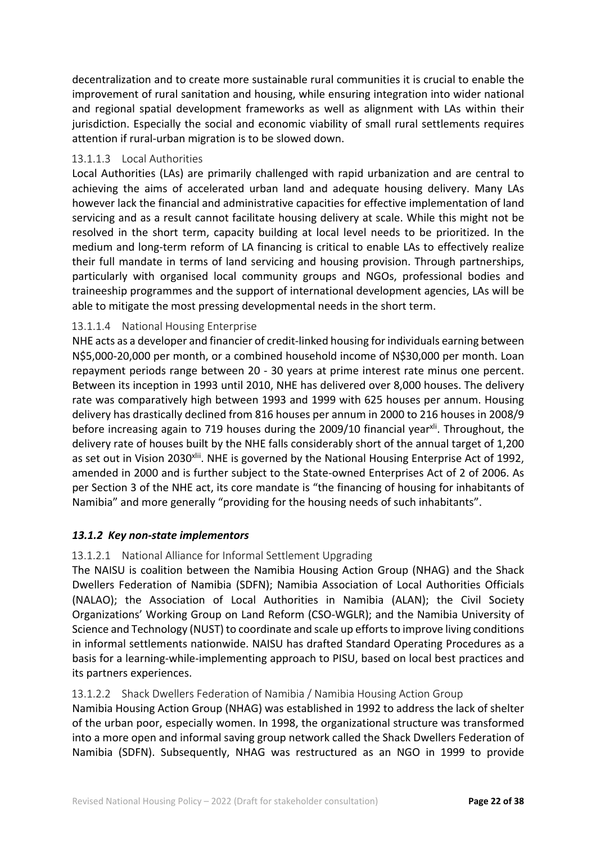decentralization and to create more sustainable rural communities it is crucial to enable the improvement of rural sanitation and housing, while ensuring integration into wider national and regional spatial development frameworks as well as alignment with LAs within their jurisdiction. Especially the social and economic viability of small rural settlements requires attention if rural-urban migration is to be slowed down.

#### 13.1.1.3 Local Authorities

Local Authorities (LAs) are primarily challenged with rapid urbanization and are central to achieving the aims of accelerated urban land and adequate housing delivery. Many LAs however lack the financial and administrative capacities for effective implementation of land servicing and as a result cannot facilitate housing delivery at scale. While this might not be resolved in the short term, capacity building at local level needs to be prioritized. In the medium and long-term reform of LA financing is critical to enable LAs to effectively realize their full mandate in terms of land servicing and housing provision. Through partnerships, particularly with organised local community groups and NGOs, professional bodies and traineeship programmes and the support of international development agencies, LAs will be able to mitigate the most pressing developmental needs in the short term.

## 13.1.1.4 National Housing Enterprise

NHE acts as a developer and financier of credit-linked housing for individuals earning between N\$5,000-20,000 per month, or a combined household income of N\$30,000 per month. Loan repayment periods range between 20 - 30 years at prime interest rate minus one percent. Between its inception in 1993 until 2010, NHE has delivered over 8,000 houses. The delivery rate was comparatively high between 1993 and 1999 with 625 houses per annum. Housing delivery has drastically declined from 816 houses per annum in 2000 to 216 houses in 2008/9 before increasing again to 719 houses during the 2009/10 financial year<sup>xli</sup>. Throughout, the delivery rate of houses built by the NHE falls considerably short of the annual target of 1,200 as set out in Vision 2030<sup>xlii</sup>. NHE is governed by the National Housing Enterprise Act of 1992, amended in 2000 and is further subject to the State-owned Enterprises Act of 2 of 2006. As per Section 3 of the NHE act, its core mandate is "the financing of housing for inhabitants of Namibia" and more generally "providing for the housing needs of such inhabitants".

## *13.1.2 Key non-state implementors*

#### 13.1.2.1 National Alliance for Informal Settlement Upgrading

The NAISU is coalition between the Namibia Housing Action Group (NHAG) and the Shack Dwellers Federation of Namibia (SDFN); Namibia Association of Local Authorities Officials (NALAO); the Association of Local Authorities in Namibia (ALAN); the Civil Society Organizations' Working Group on Land Reform (CSO-WGLR); and the Namibia University of Science and Technology (NUST) to coordinate and scale up efforts to improve living conditions in informal settlements nationwide. NAISU has drafted Standard Operating Procedures as a basis for a learning-while-implementing approach to PISU, based on local best practices and its partners experiences.

#### 13.1.2.2 Shack Dwellers Federation of Namibia / Namibia Housing Action Group

Namibia Housing Action Group (NHAG) was established in 1992 to address the lack of shelter of the urban poor, especially women. In 1998, the organizational structure was transformed into a more open and informal saving group network called the Shack Dwellers Federation of Namibia (SDFN). Subsequently, NHAG was restructured as an NGO in 1999 to provide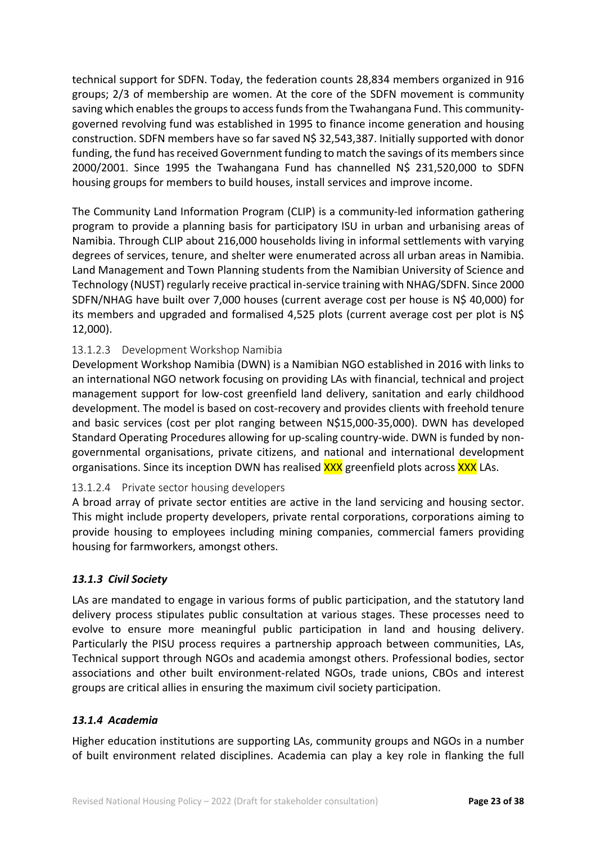technical support for SDFN. Today, the federation counts 28,834 members organized in 916 groups; 2/3 of membership are women. At the core of the SDFN movement is community saving which enables the groups to access funds from the Twahangana Fund. This communitygoverned revolving fund was established in 1995 to finance income generation and housing construction. SDFN members have so far saved N\$ 32,543,387. Initially supported with donor funding, the fund has received Government funding to match the savings of its members since 2000/2001. Since 1995 the Twahangana Fund has channelled N\$ 231,520,000 to SDFN housing groups for members to build houses, install services and improve income.

The Community Land Information Program (CLIP) is a community-led information gathering program to provide a planning basis for participatory ISU in urban and urbanising areas of Namibia. Through CLIP about 216,000 households living in informal settlements with varying degrees of services, tenure, and shelter were enumerated across all urban areas in Namibia. Land Management and Town Planning students from the Namibian University of Science and Technology (NUST) regularly receive practical in-service training with NHAG/SDFN. Since 2000 SDFN/NHAG have built over 7,000 houses (current average cost per house is N\$ 40,000) for its members and upgraded and formalised 4,525 plots (current average cost per plot is N\$ 12,000).

## 13.1.2.3 Development Workshop Namibia

Development Workshop Namibia (DWN) is a Namibian NGO established in 2016 with links to an international NGO network focusing on providing LAs with financial, technical and project management support for low-cost greenfield land delivery, sanitation and early childhood development. The model is based on cost-recovery and provides clients with freehold tenure and basic services (cost per plot ranging between N\$15,000-35,000). DWN has developed Standard Operating Procedures allowing for up-scaling country-wide. DWN is funded by nongovernmental organisations, private citizens, and national and international development organisations. Since its inception DWN has realised **XXX** greenfield plots across **XXX** LAs.

#### 13.1.2.4 Private sector housing developers

A broad array of private sector entities are active in the land servicing and housing sector. This might include property developers, private rental corporations, corporations aiming to provide housing to employees including mining companies, commercial famers providing housing for farmworkers, amongst others.

#### *13.1.3 Civil Society*

LAs are mandated to engage in various forms of public participation, and the statutory land delivery process stipulates public consultation at various stages. These processes need to evolve to ensure more meaningful public participation in land and housing delivery. Particularly the PISU process requires a partnership approach between communities, LAs, Technical support through NGOs and academia amongst others. Professional bodies, sector associations and other built environment-related NGOs, trade unions, CBOs and interest groups are critical allies in ensuring the maximum civil society participation.

#### *13.1.4 Academia*

Higher education institutions are supporting LAs, community groups and NGOs in a number of built environment related disciplines. Academia can play a key role in flanking the full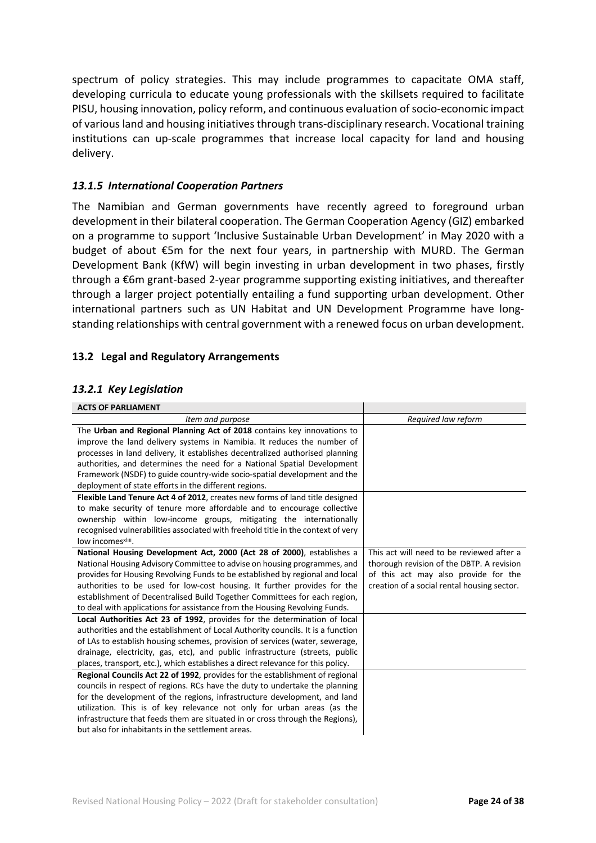spectrum of policy strategies. This may include programmes to capacitate OMA staff, developing curricula to educate young professionals with the skillsets required to facilitate PISU, housing innovation, policy reform, and continuous evaluation of socio-economic impact of various land and housing initiatives through trans-disciplinary research. Vocational training institutions can up-scale programmes that increase local capacity for land and housing delivery.

#### *13.1.5 International Cooperation Partners*

The Namibian and German governments have recently agreed to foreground urban development in their bilateral cooperation. The German Cooperation Agency (GIZ) embarked on a programme to support 'Inclusive Sustainable Urban Development' in May 2020 with a budget of about €5m for the next four years, in partnership with MURD. The German Development Bank (KfW) will begin investing in urban development in two phases, firstly through a €6m grant-based 2-year programme supporting existing initiatives, and thereafter through a larger project potentially entailing a fund supporting urban development. Other international partners such as UN Habitat and UN Development Programme have longstanding relationships with central government with a renewed focus on urban development.

#### **13.2 Legal and Regulatory Arrangements**

#### *13.2.1 Key Legislation*

| <b>ACTS OF PARLIAMENT</b>                                                        |                                             |
|----------------------------------------------------------------------------------|---------------------------------------------|
| Item and purpose                                                                 | Required law reform                         |
| The Urban and Regional Planning Act of 2018 contains key innovations to          |                                             |
| improve the land delivery systems in Namibia. It reduces the number of           |                                             |
| processes in land delivery, it establishes decentralized authorised planning     |                                             |
| authorities, and determines the need for a National Spatial Development          |                                             |
| Framework (NSDF) to guide country-wide socio-spatial development and the         |                                             |
| deployment of state efforts in the different regions.                            |                                             |
| Flexible Land Tenure Act 4 of 2012, creates new forms of land title designed     |                                             |
| to make security of tenure more affordable and to encourage collective           |                                             |
| ownership within low-income groups, mitigating the internationally               |                                             |
| recognised vulnerabilities associated with freehold title in the context of very |                                             |
| low incomesxliii.                                                                |                                             |
| National Housing Development Act, 2000 (Act 28 of 2000), establishes a           | This act will need to be reviewed after a   |
| National Housing Advisory Committee to advise on housing programmes, and         | thorough revision of the DBTP. A revision   |
| provides for Housing Revolving Funds to be established by regional and local     | of this act may also provide for the        |
| authorities to be used for low-cost housing. It further provides for the         | creation of a social rental housing sector. |
| establishment of Decentralised Build Together Committees for each region,        |                                             |
| to deal with applications for assistance from the Housing Revolving Funds.       |                                             |
| Local Authorities Act 23 of 1992, provides for the determination of local        |                                             |
| authorities and the establishment of Local Authority councils. It is a function  |                                             |
| of LAs to establish housing schemes, provision of services (water, sewerage,     |                                             |
| drainage, electricity, gas, etc), and public infrastructure (streets, public     |                                             |
| places, transport, etc.), which establishes a direct relevance for this policy.  |                                             |
| Regional Councils Act 22 of 1992, provides for the establishment of regional     |                                             |
| councils in respect of regions. RCs have the duty to undertake the planning      |                                             |
| for the development of the regions, infrastructure development, and land         |                                             |
| utilization. This is of key relevance not only for urban areas (as the           |                                             |
| infrastructure that feeds them are situated in or cross through the Regions),    |                                             |
| but also for inhabitants in the settlement areas.                                |                                             |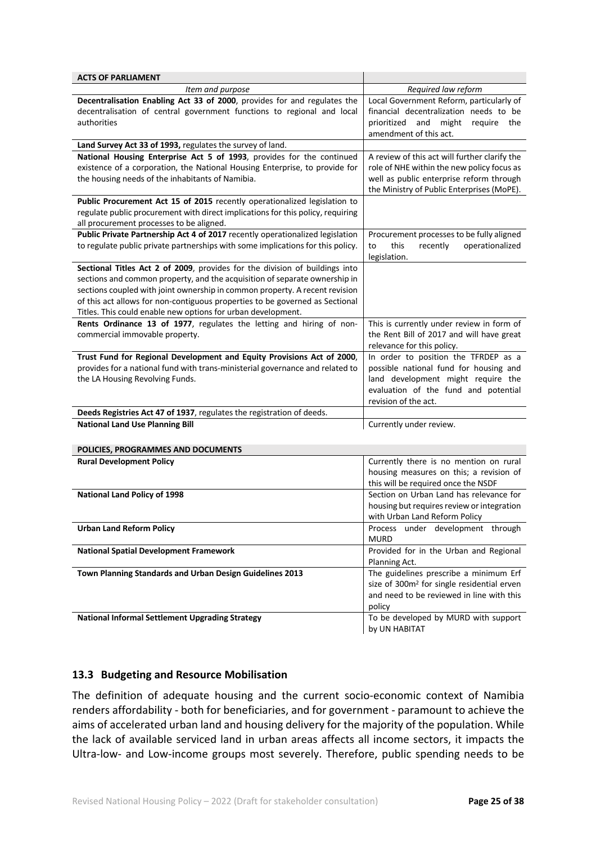| <b>ACTS OF PARLIAMENT</b>                                                       |                                                        |
|---------------------------------------------------------------------------------|--------------------------------------------------------|
| Item and purpose                                                                | Required law reform                                    |
| Decentralisation Enabling Act 33 of 2000, provides for and regulates the        | Local Government Reform, particularly of               |
| decentralisation of central government functions to regional and local          | financial decentralization needs to be                 |
| authorities                                                                     | prioritized<br>and<br>might<br>require<br>the          |
|                                                                                 | amendment of this act.                                 |
| Land Survey Act 33 of 1993, regulates the survey of land.                       |                                                        |
| National Housing Enterprise Act 5 of 1993, provides for the continued           | A review of this act will further clarify the          |
| existence of a corporation, the National Housing Enterprise, to provide for     | role of NHE within the new policy focus as             |
| the housing needs of the inhabitants of Namibia.                                | well as public enterprise reform through               |
|                                                                                 | the Ministry of Public Enterprises (MoPE).             |
| Public Procurement Act 15 of 2015 recently operationalized legislation to       |                                                        |
| regulate public procurement with direct implications for this policy, requiring |                                                        |
| all procurement processes to be aligned.                                        |                                                        |
| Public Private Partnership Act 4 of 2017 recently operationalized legislation   | Procurement processes to be fully aligned              |
| to regulate public private partnerships with some implications for this policy. | this<br>operationalized<br>recently<br>to              |
|                                                                                 | legislation.                                           |
| Sectional Titles Act 2 of 2009, provides for the division of buildings into     |                                                        |
| sections and common property, and the acquisition of separate ownership in      |                                                        |
| sections coupled with joint ownership in common property. A recent revision     |                                                        |
| of this act allows for non-contiguous properties to be governed as Sectional    |                                                        |
| Titles. This could enable new options for urban development.                    |                                                        |
| Rents Ordinance 13 of 1977, regulates the letting and hiring of non-            | This is currently under review in form of              |
| commercial immovable property.                                                  | the Rent Bill of 2017 and will have great              |
|                                                                                 | relevance for this policy.                             |
| Trust Fund for Regional Development and Equity Provisions Act of 2000,          | In order to position the TFRDEP as a                   |
| provides for a national fund with trans-ministerial governance and related to   | possible national fund for housing and                 |
| the LA Housing Revolving Funds.                                                 | land development might require the                     |
|                                                                                 | evaluation of the fund and potential                   |
|                                                                                 | revision of the act.                                   |
| Deeds Registries Act 47 of 1937, regulates the registration of deeds.           |                                                        |
| <b>National Land Use Planning Bill</b>                                          | Currently under review.                                |
|                                                                                 |                                                        |
| POLICIES, PROGRAMMES AND DOCUMENTS                                              |                                                        |
| <b>Rural Development Policy</b>                                                 | Currently there is no mention on rural                 |
|                                                                                 | housing measures on this; a revision of                |
|                                                                                 | this will be required once the NSDF                    |
| <b>National Land Policy of 1998</b>                                             | Section on Urban Land has relevance for                |
|                                                                                 | housing but requires review or integration             |
|                                                                                 | with Urban Land Reform Policy                          |
| <b>Urban Land Reform Policy</b>                                                 | Process under development through                      |
|                                                                                 | <b>MURD</b>                                            |
| <b>National Spatial Development Framework</b>                                   | Provided for in the Urban and Regional                 |
|                                                                                 | Planning Act.                                          |
| Town Planning Standards and Urban Design Guidelines 2013                        | The guidelines prescribe a minimum Erf                 |
|                                                                                 |                                                        |
|                                                                                 | size of 300m <sup>2</sup> for single residential erven |
|                                                                                 | and need to be reviewed in line with this              |
|                                                                                 | policy                                                 |
| <b>National Informal Settlement Upgrading Strategy</b>                          | To be developed by MURD with support<br>by UN HABITAT  |

#### **13.3 Budgeting and Resource Mobilisation**

The definition of adequate housing and the current socio-economic context of Namibia renders affordability - both for beneficiaries, and for government - paramount to achieve the aims of accelerated urban land and housing delivery for the majority of the population. While the lack of available serviced land in urban areas affects all income sectors, it impacts the Ultra-low- and Low-income groups most severely. Therefore, public spending needs to be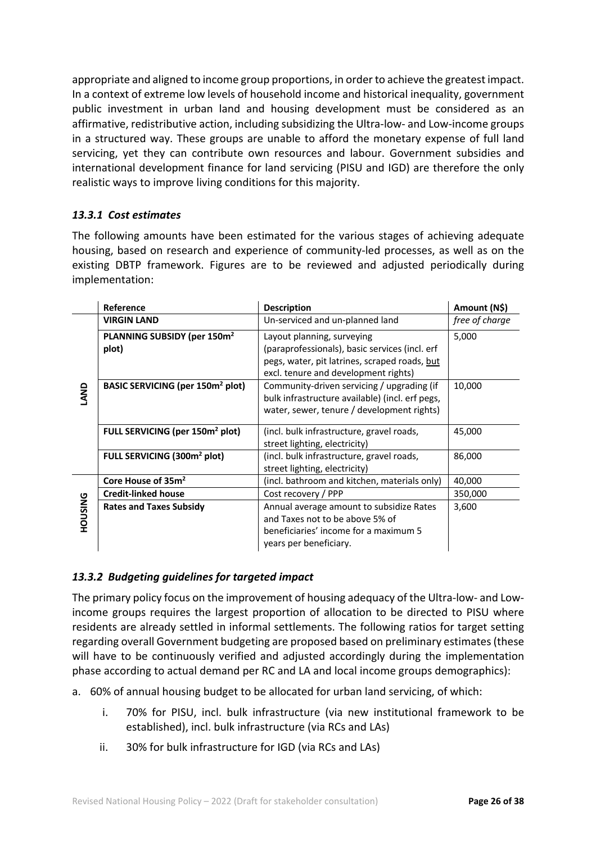appropriate and aligned to income group proportions, in order to achieve the greatest impact. In a context of extreme low levels of household income and historical inequality, government public investment in urban land and housing development must be considered as an affirmative, redistributive action, including subsidizing the Ultra-low- and Low-income groups in a structured way. These groups are unable to afford the monetary expense of full land servicing, yet they can contribute own resources and labour. Government subsidies and international development finance for land servicing (PISU and IGD) are therefore the only realistic ways to improve living conditions for this majority.

## *13.3.1 Cost estimates*

The following amounts have been estimated for the various stages of achieving adequate housing, based on research and experience of community-led processes, as well as on the existing DBTP framework. Figures are to be reviewed and adjusted periodically during implementation:

|                | Reference                                    | <b>Description</b>                                                                                                                             | Amount (N\$)   |
|----------------|----------------------------------------------|------------------------------------------------------------------------------------------------------------------------------------------------|----------------|
|                | <b>VIRGIN LAND</b>                           | Un-serviced and un-planned land                                                                                                                | free of charge |
|                | PLANNING SUBSIDY (per 150m <sup>2</sup>      | Layout planning, surveying                                                                                                                     | 5,000          |
|                | plot)                                        | (paraprofessionals), basic services (incl. erf                                                                                                 |                |
| LAND           |                                              | pegs, water, pit latrines, scraped roads, but<br>excl. tenure and development rights)                                                          |                |
|                | BASIC SERVICING (per 150m <sup>2</sup> plot) | Community-driven servicing / upgrading (if<br>bulk infrastructure available) (incl. erf pegs,<br>water, sewer, tenure / development rights)    | 10,000         |
|                | FULL SERVICING (per 150m <sup>2</sup> plot)  | (incl. bulk infrastructure, gravel roads,<br>street lighting, electricity)                                                                     | 45,000         |
|                | FULL SERVICING (300m <sup>2</sup> plot)      | (incl. bulk infrastructure, gravel roads,<br>street lighting, electricity)                                                                     | 86,000         |
|                | Core House of 35m <sup>2</sup>               | (incl. bathroom and kitchen, materials only)                                                                                                   | 40,000         |
|                | <b>Credit-linked house</b>                   | Cost recovery / PPP                                                                                                                            | 350,000        |
| <b>PNISNOH</b> | <b>Rates and Taxes Subsidy</b>               | Annual average amount to subsidize Rates<br>and Taxes not to be above 5% of<br>beneficiaries' income for a maximum 5<br>years per beneficiary. | 3,600          |

## *13.3.2 Budgeting guidelines for targeted impact*

The primary policy focus on the improvement of housing adequacy of the Ultra-low- and Lowincome groups requires the largest proportion of allocation to be directed to PISU where residents are already settled in informal settlements. The following ratios for target setting regarding overall Government budgeting are proposed based on preliminary estimates (these will have to be continuously verified and adjusted accordingly during the implementation phase according to actual demand per RC and LA and local income groups demographics):

- a. 60% of annual housing budget to be allocated for urban land servicing, of which:
	- i. 70% for PISU, incl. bulk infrastructure (via new institutional framework to be established), incl. bulk infrastructure (via RCs and LAs)
	- ii. 30% for bulk infrastructure for IGD (via RCs and LAs)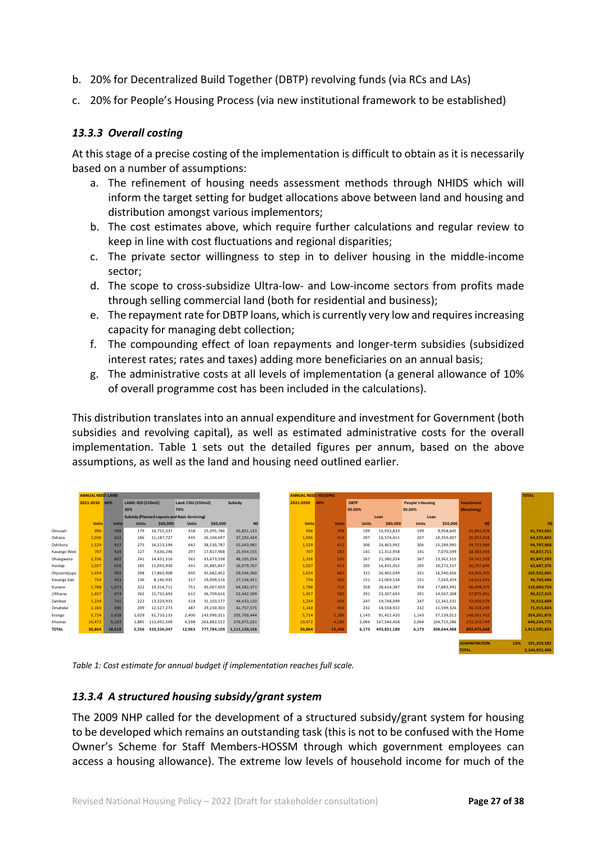- b. 20% for Decentralized Build Together (DBTP) revolving funds (via RCs and LAs)
- c. 20% for People's Housing Process (via new institutional framework to be established)

#### *13.3.3 Overall costing*

At this stage of a precise costing of the implementation is difficult to obtain as it is necessarily based on a number of assumptions:

- a. The refinement of housing needs assessment methods through NHIDS which will inform the target setting for budget allocations above between land and housing and distribution amongst various implementors;
- b. The cost estimates above, which require further calculations and regular review to keep in line with cost fluctuations and regional disparities;
- c. The private sector willingness to step in to deliver housing in the middle-income sector;
- d. The scope to cross-subsidize Ultra-low- and Low-income sectors from profits made through selling commercial land (both for residential and business);
- e. The repayment rate for DBTP loans, which is currently very low and requires increasing capacity for managing debt collection;
- f. The compounding effect of loan repayments and longer-term subsidies (subsidized interest rates; rates and taxes) adding more beneficiaries on an annual basis;
- g. The administrative costs at all levels of implementation (a general allowance of 10% of overall programme cost has been included in the calculations).

This distribution translates into an annual expenditure and investment for Government (both subsidies and revolving capital), as well as estimated administrative costs for the overall implementation. Table 1 sets out the detailed figures per annum, based on the above assumptions, as well as the land and housing need outlined earlier.

|              | <b>ANNUAL NEED: LAND</b> |              |                                                           |             |              |             |               | <b>ANNUAL NEED: HOUSING</b> |              |              |                         |              |             |                      | <b>TOTAL</b> |               |  |
|--------------|--------------------------|--------------|-----------------------------------------------------------|-------------|--------------|-------------|---------------|-----------------------------|--------------|--------------|-------------------------|--------------|-------------|----------------------|--------------|---------------|--|
|              | 2021-2030 60%            |              | Subsidy<br><b>LAND: IGD (150m2)</b><br>Land: CISU (150m2) |             |              | 2021-2030   | 40%           | <b>DBTP</b>                 |              |              | <b>People's Housing</b> |              |             |                      |              |               |  |
|              |                          |              | 30%                                                       |             | 70%          |             |               |                             |              | 50.00%       |                         | 50.00%       |             | (Revolving)          |              |               |  |
|              |                          |              | Subsidy (Planned Layouts and Basic Servicing)             |             |              |             |               |                             |              | Loan<br>Loan |                         |              |             |                      |              |               |  |
|              | <b>Units</b>             | <b>Units</b> | <b>Units</b>                                              | \$60,000    | <b>Units</b> | \$60,000    | N\$           | <b>Units</b>                | <b>Units</b> | <b>Units</b> | \$80,000                | <b>Units</b> | \$50,000    | <b>NS</b>            |              | N\$           |  |
| Omusati      | 996                      | 598          | 179                                                       | 10,755,337  | 418          | 25,095,786  | 35,851,123    | 996                         | 398          | 199          | 15.933.833              | 199          | 9,958,645   | 25.892.478           |              | 61,743,601    |  |
| Oshana       | 1.036                    | 622          | 186                                                       | 11.187.727  | 435          | 26,104,697  | 37,292,424    | 1,036                       | 414          | 207          | 16.574.411              | 207          | 10,359,007  | 26.933.418           |              | 64,225,842    |  |
| Oshikoto     | 1.529                    | 917          | 275                                                       | 16.513.194  | 642          | 38.530.787  | 55,043,981    | 1.529                       | 612          | 306          | 24.463.992              | 306          | 15,289,995  | 39.753.986           |              | 94.797.968    |  |
| Kavango West | 707                      | 424          | 127                                                       | 7,636,246   | 297          | 17.817.908  | 25,454,155    | 707                         | 283          | 141          | 11.312.958              | 141          | 7,070,599   | 18.383.556           |              | 43.837.711    |  |
| Ohangwena    | 1.336                    | 802          | 241                                                       | 14,431,516  | 561          | 33,673,538  | 48,105,054    | 1,336                       | 535          | 267          | 21,380,024              | 267          | 13,362,515  | 34.742.539           |              | 82,847,593    |  |
| Hardap       | 1.027                    | 616          | 185                                                       | 11.093.930  | 431          | 25.885.837  | 36.979.767    | 1.027                       | 411          | 205          | 16.435.452              | 205          | 10,272,157  | 26.707.609           |              | 63.687.376    |  |
| Otjozondjupa | 1.654                    | 992          | 298                                                       | 17,863,908  | 695          | 41,682,452  | 59,546,360    | 1.654                       | 662          | 331          | 26,465,049              | 331          | 16,540,656  | 43.005.705           |              | 102,552,065   |  |
| Kavango East | 754                      | 453          | 136                                                       | 8,146,935   | 317          | 19,009,516  | 27,156,451    | 754                         | 302          | 151          | 12,069,534              | 151          | 7,543,459   | 19,612,993           |              | 46,769,444    |  |
| Kunene       | 1.788                    | 1.073        | 322                                                       | 19,314,711  | 751          | 45.067.659  | 64.382.371    | 1,788                       | 715          | 358          | 28.614.387              | 358          | 17,883,992  | 46.498.379           |              | 110.880.750   |  |
| //Kharas     | 1.457                    | 874          | 262                                                       | 15.732.693  | 612          | 36,709,616  | 52,442,309    | 1.457                       | 583          | 291          | 23.307.693              | 291          | 14,567,308  | 37.875.001           |              | 90.317.310    |  |
| Zambezi      | 1.234                    | 741          | 222                                                       | 13.329.933  | 518          | 31,103,177  | 44,433,110    | 1,234                       | 494          | 247          | 19.748.049              | 247          | 12,342,531  | 32.090.579           |              | 76.523.689    |  |
| Omaheke      | 1.160                    | 696          | 209                                                       | 12.527.273  | 487          | 29.230.303  | 41.757.575    | 1,160                       | 464          | 232          | 18,558,922              | 232          | 11,599,326  | 30.158.249           |              | 71,915,824    |  |
| Erongo       | 5.714                    | 3,428        | 1.029                                                     | 61,710,133  | 2.400        | 143.990.311 | 205,700,444   | 5.714                       | 2.286        | 1.143        | 91.422.420              | 1.143        | 57,139,012  | 148.561.432          |              | 354,261,876   |  |
| Khomas       | 10.472                   | 6.283        | 1.885                                                     | 113.092.509 | 4.398        | 263.882.522 | 376.975.031   | 10.472                      | 4.189        | 2.094        | 167.544.458             | 2.094        | 104.715.286 | 272.259.744          |              | 649.234.775   |  |
| <b>TOTAL</b> | 30,864                   | 18,519       | 5.556                                                     | 333.336.047 | 12,963       | 777.784.109 | 1,111,120,156 | 30,864                      | 12,346       | 6.173        | 493.831.180             | 6.173        | 308.644.488 | 802.475.668          |              | 1.913.595.824 |  |
|              |                          |              |                                                           |             |              |             |               |                             |              |              |                         |              |             |                      |              |               |  |
|              |                          |              |                                                           |             |              |             |               |                             |              |              |                         |              |             | <b>ADMINITRATION</b> | 10%          | 191.359.582   |  |

*Table 1: Cost estimate for annual budget if implementation reaches full scale.*

#### *13.3.4 A structured housing subsidy/grant system*

The 2009 NHP called for the development of a structured subsidy/grant system for housing to be developed which remains an outstanding task (this is not to be confused with the Home Owner's Scheme for Staff Members-HOSSM through which government employees can access a housing allowance). The extreme low levels of household income for much of the

**TOTAL 2,104,955,406**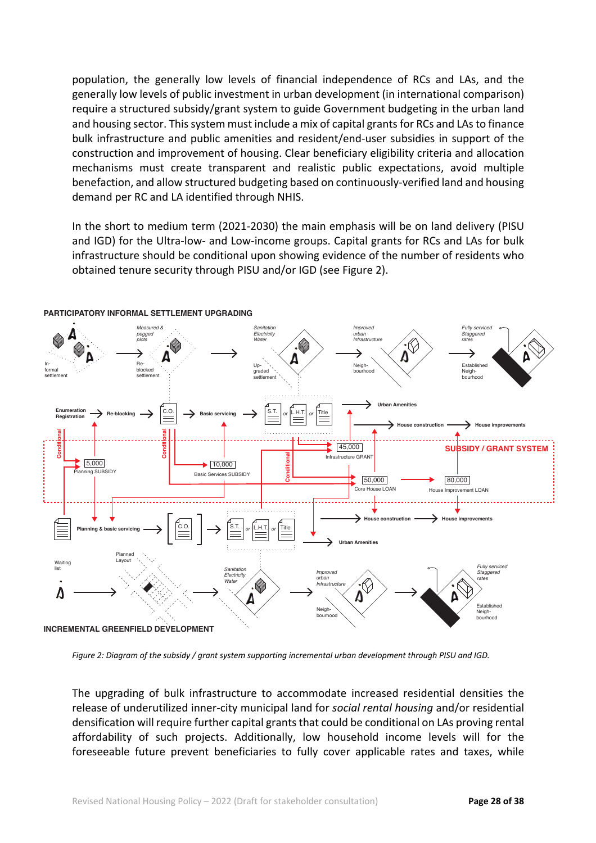population, the generally low levels of financial independence of RCs and LAs, and the generally low levels of public investment in urban development (in international comparison) require a structured subsidy/grant system to guide Government budgeting in the urban land and housing sector. This system must include a mix of capital grants for RCs and LAs to finance bulk infrastructure and public amenities and resident/end-user subsidies in support of the construction and improvement of housing. Clear beneficiary eligibility criteria and allocation mechanisms must create transparent and realistic public expectations, avoid multiple benefaction, and allow structured budgeting based on continuously-verified land and housing demand per RC and LA identified through NHIS.

In the short to medium term (2021-2030) the main emphasis will be on land delivery (PISU and IGD) for the Ultra-low- and Low-income groups. Capital grants for RCs and LAs for bulk infrastructure should be conditional upon showing evidence of the number of residents who obtained tenure security through PISU and/or IGD (see Figure 2).



#### **PARTICIPATORY INFORMAL SETTLEMENT UPGRADING**

*Figure 2: Diagram of the subsidy / grant system supporting incremental urban development through PISU and IGD.*

The upgrading of bulk infrastructure to accommodate increased residential densities the release of underutilized inner-city municipal land for *social rental housing* and/or residential densification will require further capital grants that could be conditional on LAs proving rental affordability of such projects. Additionally, low household income levels will for the foreseeable future prevent beneficiaries to fully cover applicable rates and taxes, while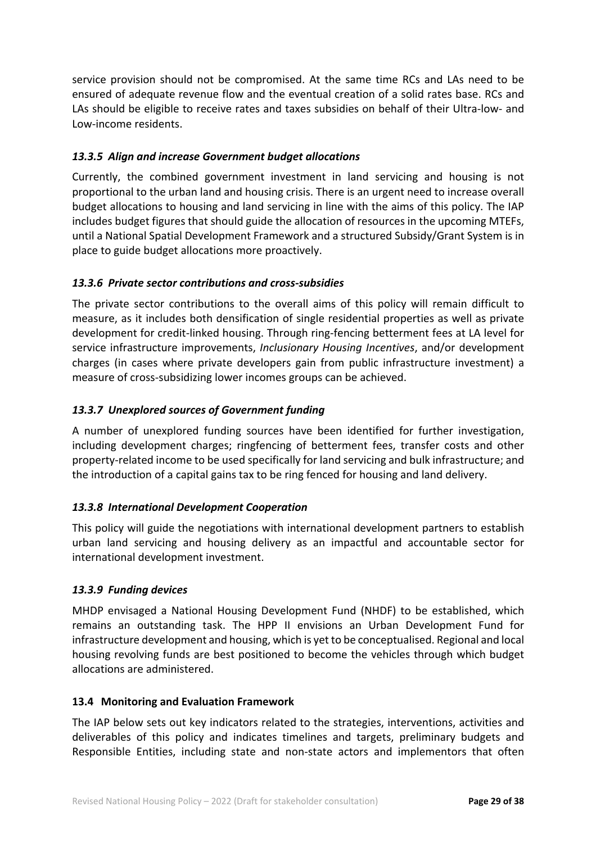service provision should not be compromised. At the same time RCs and LAs need to be ensured of adequate revenue flow and the eventual creation of a solid rates base. RCs and LAs should be eligible to receive rates and taxes subsidies on behalf of their Ultra-low- and Low-income residents.

## *13.3.5 Align and increase Government budget allocations*

Currently, the combined government investment in land servicing and housing is not proportional to the urban land and housing crisis. There is an urgent need to increase overall budget allocations to housing and land servicing in line with the aims of this policy. The IAP includes budget figures that should guide the allocation of resources in the upcoming MTEFs, until a National Spatial Development Framework and a structured Subsidy/Grant System is in place to guide budget allocations more proactively.

## *13.3.6 Private sector contributions and cross-subsidies*

The private sector contributions to the overall aims of this policy will remain difficult to measure, as it includes both densification of single residential properties as well as private development for credit-linked housing. Through ring-fencing betterment fees at LA level for service infrastructure improvements, *Inclusionary Housing Incentives*, and/or development charges (in cases where private developers gain from public infrastructure investment) a measure of cross-subsidizing lower incomes groups can be achieved.

## *13.3.7 Unexplored sources of Government funding*

A number of unexplored funding sources have been identified for further investigation, including development charges; ringfencing of betterment fees, transfer costs and other property-related income to be used specifically for land servicing and bulk infrastructure; and the introduction of a capital gains tax to be ring fenced for housing and land delivery.

## *13.3.8 International Development Cooperation*

This policy will guide the negotiations with international development partners to establish urban land servicing and housing delivery as an impactful and accountable sector for international development investment.

## *13.3.9 Funding devices*

MHDP envisaged a National Housing Development Fund (NHDF) to be established, which remains an outstanding task. The HPP II envisions an Urban Development Fund for infrastructure development and housing, which is yet to be conceptualised. Regional and local housing revolving funds are best positioned to become the vehicles through which budget allocations are administered.

## **13.4 Monitoring and Evaluation Framework**

The IAP below sets out key indicators related to the strategies, interventions, activities and deliverables of this policy and indicates timelines and targets, preliminary budgets and Responsible Entities, including state and non-state actors and implementors that often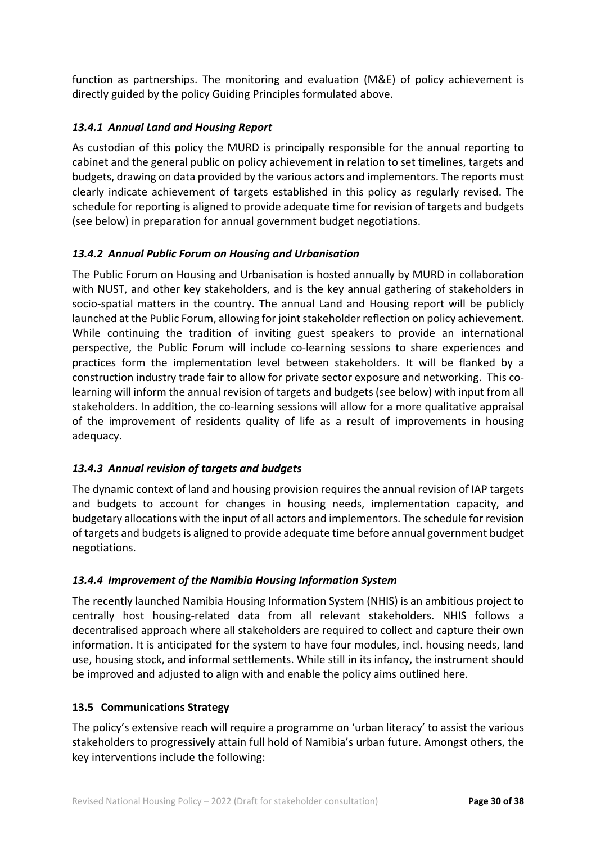function as partnerships. The monitoring and evaluation (M&E) of policy achievement is directly guided by the policy Guiding Principles formulated above.

## *13.4.1 Annual Land and Housing Report*

As custodian of this policy the MURD is principally responsible for the annual reporting to cabinet and the general public on policy achievement in relation to set timelines, targets and budgets, drawing on data provided by the various actors and implementors. The reports must clearly indicate achievement of targets established in this policy as regularly revised. The schedule for reporting is aligned to provide adequate time for revision of targets and budgets (see below) in preparation for annual government budget negotiations.

## *13.4.2 Annual Public Forum on Housing and Urbanisation*

The Public Forum on Housing and Urbanisation is hosted annually by MURD in collaboration with NUST, and other key stakeholders, and is the key annual gathering of stakeholders in socio-spatial matters in the country. The annual Land and Housing report will be publicly launched at the Public Forum, allowing for joint stakeholder reflection on policy achievement. While continuing the tradition of inviting guest speakers to provide an international perspective, the Public Forum will include co-learning sessions to share experiences and practices form the implementation level between stakeholders. It will be flanked by a construction industry trade fair to allow for private sector exposure and networking. This colearning will inform the annual revision of targets and budgets (see below) with input from all stakeholders. In addition, the co-learning sessions will allow for a more qualitative appraisal of the improvement of residents quality of life as a result of improvements in housing adequacy.

## *13.4.3 Annual revision of targets and budgets*

The dynamic context of land and housing provision requires the annual revision of IAP targets and budgets to account for changes in housing needs, implementation capacity, and budgetary allocations with the input of all actors and implementors. The schedule for revision of targets and budgets is aligned to provide adequate time before annual government budget negotiations.

## *13.4.4 Improvement of the Namibia Housing Information System*

The recently launched Namibia Housing Information System (NHIS) is an ambitious project to centrally host housing-related data from all relevant stakeholders. NHIS follows a decentralised approach where all stakeholders are required to collect and capture their own information. It is anticipated for the system to have four modules, incl. housing needs, land use, housing stock, and informal settlements. While still in its infancy, the instrument should be improved and adjusted to align with and enable the policy aims outlined here.

## **13.5 Communications Strategy**

The policy's extensive reach will require a programme on 'urban literacy' to assist the various stakeholders to progressively attain full hold of Namibia's urban future. Amongst others, the key interventions include the following: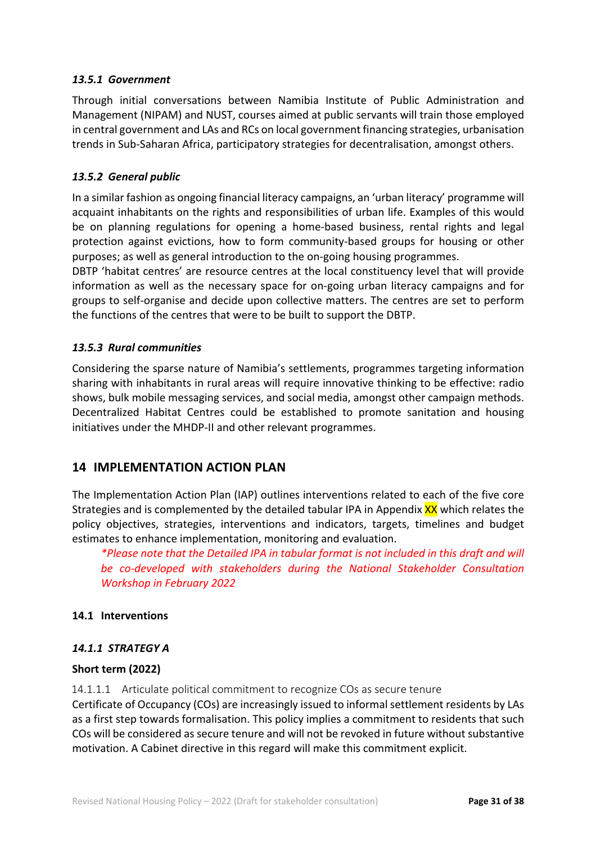#### *13.5.1 Government*

Through initial conversations between Namibia Institute of Public Administration and Management (NIPAM) and NUST, courses aimed at public servants will train those employed in central government and LAs and RCs on local government financing strategies, urbanisation trends in Sub-Saharan Africa, participatory strategies for decentralisation, amongst others.

#### *13.5.2 General public*

In a similar fashion as ongoing financial literacy campaigns, an 'urban literacy' programme will acquaint inhabitants on the rights and responsibilities of urban life. Examples of this would be on planning regulations for opening a home-based business, rental rights and legal protection against evictions, how to form community-based groups for housing or other purposes; as well as general introduction to the on-going housing programmes.

DBTP 'habitat centres' are resource centres at the local constituency level that will provide information as well as the necessary space for on-going urban literacy campaigns and for groups to self-organise and decide upon collective matters. The centres are set to perform the functions of the centres that were to be built to support the DBTP.

#### *13.5.3 Rural communities*

Considering the sparse nature of Namibia's settlements, programmes targeting information sharing with inhabitants in rural areas will require innovative thinking to be effective: radio shows, bulk mobile messaging services, and social media, amongst other campaign methods. Decentralized Habitat Centres could be established to promote sanitation and housing initiatives under the MHDP-II and other relevant programmes.

## **14 IMPLEMENTATION ACTION PLAN**

The Implementation Action Plan (IAP) outlines interventions related to each of the five core Strategies and is complemented by the detailed tabular IPA in Appendix XX which relates the policy objectives, strategies, interventions and indicators, targets, timelines and budget estimates to enhance implementation, monitoring and evaluation.

*\*Please note that the Detailed IPA in tabular format is not included in this draft and will be co-developed with stakeholders during the National Stakeholder Consultation Workshop in February 2022*

#### **14.1 Interventions**

#### *14.1.1 STRATEGY A*

#### **Short term (2022)**

14.1.1.1 Articulate political commitment to recognize COs as secure tenure Certificate of Occupancy (COs) are increasingly issued to informal settlement residents by LAs as a first step towards formalisation. This policy implies a commitment to residents that such COs will be considered as secure tenure and will not be revoked in future without substantive motivation. A Cabinet directive in this regard will make this commitment explicit.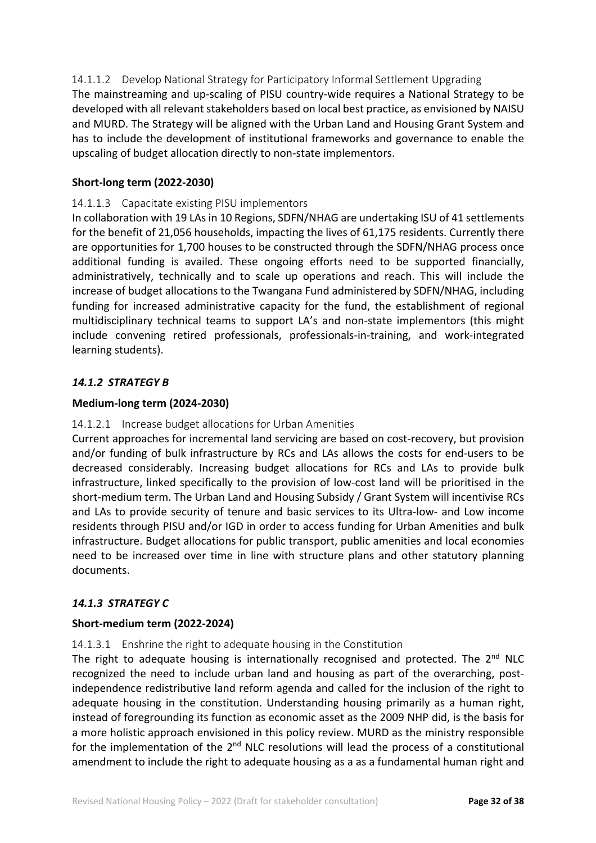14.1.1.2 Develop National Strategy for Participatory Informal Settlement Upgrading The mainstreaming and up-scaling of PISU country-wide requires a National Strategy to be developed with all relevant stakeholders based on local best practice, as envisioned by NAISU and MURD. The Strategy will be aligned with the Urban Land and Housing Grant System and has to include the development of institutional frameworks and governance to enable the upscaling of budget allocation directly to non-state implementors.

#### **Short-long term (2022-2030)**

#### 14.1.1.3 Capacitate existing PISU implementors

In collaboration with 19 LAs in 10 Regions, SDFN/NHAG are undertaking ISU of 41 settlements for the benefit of 21,056 households, impacting the lives of 61,175 residents. Currently there are opportunities for 1,700 houses to be constructed through the SDFN/NHAG process once additional funding is availed. These ongoing efforts need to be supported financially, administratively, technically and to scale up operations and reach. This will include the increase of budget allocations to the Twangana Fund administered by SDFN/NHAG, including funding for increased administrative capacity for the fund, the establishment of regional multidisciplinary technical teams to support LA's and non-state implementors (this might include convening retired professionals, professionals-in-training, and work-integrated learning students).

#### *14.1.2 STRATEGY B*

#### **Medium-long term (2024-2030)**

#### 14.1.2.1 Increase budget allocations for Urban Amenities

Current approaches for incremental land servicing are based on cost-recovery, but provision and/or funding of bulk infrastructure by RCs and LAs allows the costs for end-users to be decreased considerably. Increasing budget allocations for RCs and LAs to provide bulk infrastructure, linked specifically to the provision of low-cost land will be prioritised in the short-medium term. The Urban Land and Housing Subsidy / Grant System will incentivise RCs and LAs to provide security of tenure and basic services to its Ultra-low- and Low income residents through PISU and/or IGD in order to access funding for Urban Amenities and bulk infrastructure. Budget allocations for public transport, public amenities and local economies need to be increased over time in line with structure plans and other statutory planning documents.

#### *14.1.3 STRATEGY C*

#### **Short-medium term (2022-2024)**

#### 14.1.3.1 Enshrine the right to adequate housing in the Constitution

The right to adequate housing is internationally recognised and protected. The  $2^{nd}$  NLC recognized the need to include urban land and housing as part of the overarching, postindependence redistributive land reform agenda and called for the inclusion of the right to adequate housing in the constitution. Understanding housing primarily as a human right, instead of foregrounding its function as economic asset as the 2009 NHP did, is the basis for a more holistic approach envisioned in this policy review. MURD as the ministry responsible for the implementation of the  $2<sup>nd</sup>$  NLC resolutions will lead the process of a constitutional amendment to include the right to adequate housing as a as a fundamental human right and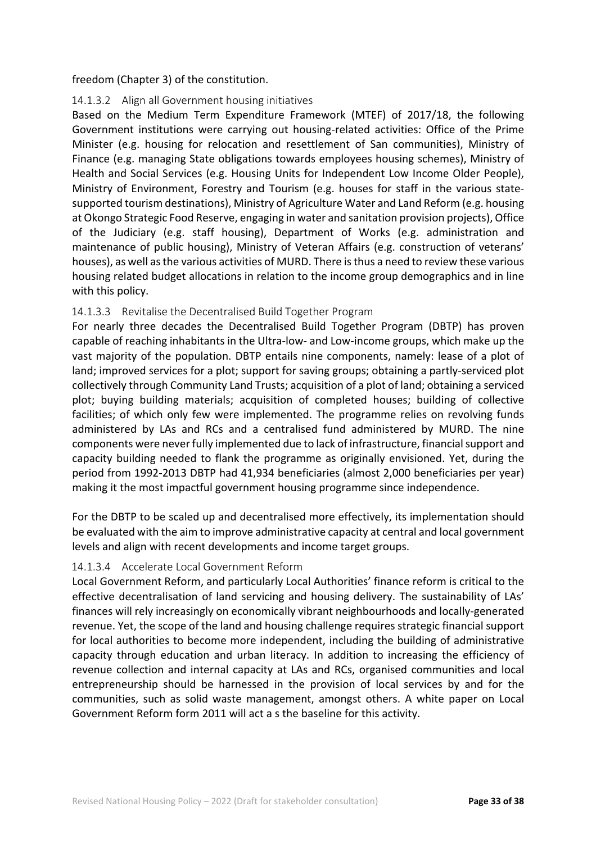#### freedom (Chapter 3) of the constitution.

#### 14.1.3.2 Align all Government housing initiatives

Based on the Medium Term Expenditure Framework (MTEF) of 2017/18, the following Government institutions were carrying out housing-related activities: Office of the Prime Minister (e.g. housing for relocation and resettlement of San communities), Ministry of Finance (e.g. managing State obligations towards employees housing schemes), Ministry of Health and Social Services (e.g. Housing Units for Independent Low Income Older People), Ministry of Environment, Forestry and Tourism (e.g. houses for staff in the various statesupported tourism destinations), Ministry of Agriculture Water and Land Reform (e.g. housing at Okongo Strategic Food Reserve, engaging in water and sanitation provision projects), Office of the Judiciary (e.g. staff housing), Department of Works (e.g. administration and maintenance of public housing), Ministry of Veteran Affairs (e.g. construction of veterans' houses), as well as the various activities of MURD. There is thus a need to review these various housing related budget allocations in relation to the income group demographics and in line with this policy.

#### 14.1.3.3 Revitalise the Decentralised Build Together Program

For nearly three decades the Decentralised Build Together Program (DBTP) has proven capable of reaching inhabitants in the Ultra-low- and Low-income groups, which make up the vast majority of the population. DBTP entails nine components, namely: lease of a plot of land; improved services for a plot; support for saving groups; obtaining a partly-serviced plot collectively through Community Land Trusts; acquisition of a plot of land; obtaining a serviced plot; buying building materials; acquisition of completed houses; building of collective facilities; of which only few were implemented. The programme relies on revolving funds administered by LAs and RCs and a centralised fund administered by MURD. The nine components were never fully implemented due to lack of infrastructure, financial support and capacity building needed to flank the programme as originally envisioned. Yet, during the period from 1992-2013 DBTP had 41,934 beneficiaries (almost 2,000 beneficiaries per year) making it the most impactful government housing programme since independence.

For the DBTP to be scaled up and decentralised more effectively, its implementation should be evaluated with the aim to improve administrative capacity at central and local government levels and align with recent developments and income target groups.

#### 14.1.3.4 Accelerate Local Government Reform

Local Government Reform, and particularly Local Authorities' finance reform is critical to the effective decentralisation of land servicing and housing delivery. The sustainability of LAs' finances will rely increasingly on economically vibrant neighbourhoods and locally-generated revenue. Yet, the scope of the land and housing challenge requires strategic financial support for local authorities to become more independent, including the building of administrative capacity through education and urban literacy. In addition to increasing the efficiency of revenue collection and internal capacity at LAs and RCs, organised communities and local entrepreneurship should be harnessed in the provision of local services by and for the communities, such as solid waste management, amongst others. A white paper on Local Government Reform form 2011 will act a s the baseline for this activity.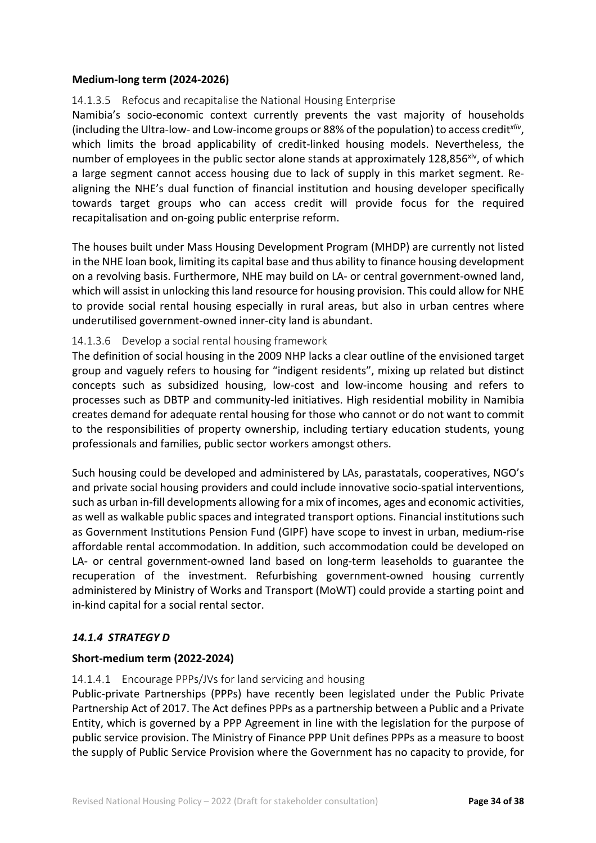#### **Medium-long term (2024-2026)**

#### 14.1.3.5 Refocus and recapitalise the National Housing Enterprise

Namibia's socio-economic context currently prevents the vast majority of households (including the Ultra-low- and Low-income groups or 88% of the population) to access credit*xliv*, which limits the broad applicability of credit-linked housing models. Nevertheless, the number of employees in the public sector alone stands at approximately 128,856 $x^2$ , of which a large segment cannot access housing due to lack of supply in this market segment. Realigning the NHE's dual function of financial institution and housing developer specifically towards target groups who can access credit will provide focus for the required recapitalisation and on-going public enterprise reform.

The houses built under Mass Housing Development Program (MHDP) are currently not listed in the NHE loan book, limiting its capital base and thus ability to finance housing development on a revolving basis. Furthermore, NHE may build on LA- or central government-owned land, which will assist in unlocking this land resource for housing provision. This could allow for NHE to provide social rental housing especially in rural areas, but also in urban centres where underutilised government-owned inner-city land is abundant.

#### 14.1.3.6 Develop a social rental housing framework

The definition of social housing in the 2009 NHP lacks a clear outline of the envisioned target group and vaguely refers to housing for "indigent residents", mixing up related but distinct concepts such as subsidized housing, low-cost and low-income housing and refers to processes such as DBTP and community-led initiatives. High residential mobility in Namibia creates demand for adequate rental housing for those who cannot or do not want to commit to the responsibilities of property ownership, including tertiary education students, young professionals and families, public sector workers amongst others.

Such housing could be developed and administered by LAs, parastatals, cooperatives, NGO's and private social housing providers and could include innovative socio-spatial interventions, such as urban in-fill developments allowing for a mix of incomes, ages and economic activities, as well as walkable public spaces and integrated transport options. Financial institutions such as Government Institutions Pension Fund (GIPF) have scope to invest in urban, medium-rise affordable rental accommodation. In addition, such accommodation could be developed on LA- or central government-owned land based on long-term leaseholds to guarantee the recuperation of the investment. Refurbishing government-owned housing currently administered by Ministry of Works and Transport (MoWT) could provide a starting point and in-kind capital for a social rental sector.

## *14.1.4 STRATEGY D*

#### **Short-medium term (2022-2024)**

#### 14.1.4.1 Encourage PPPs/JVs for land servicing and housing

Public-private Partnerships (PPPs) have recently been legislated under the Public Private Partnership Act of 2017. The Act defines PPPs as a partnership between a Public and a Private Entity, which is governed by a PPP Agreement in line with the legislation for the purpose of public service provision. The Ministry of Finance PPP Unit defines PPPs as a measure to boost the supply of Public Service Provision where the Government has no capacity to provide, for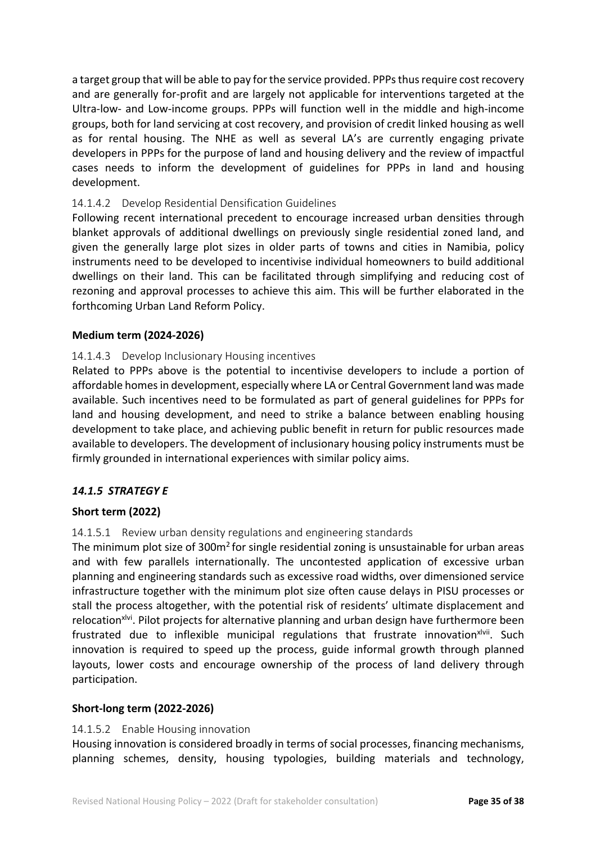a target group that will be able to pay for the service provided. PPPs thus require cost recovery and are generally for-profit and are largely not applicable for interventions targeted at the Ultra-low- and Low-income groups. PPPs will function well in the middle and high-income groups, both for land servicing at cost recovery, and provision of credit linked housing as well as for rental housing. The NHE as well as several LA's are currently engaging private developers in PPPs for the purpose of land and housing delivery and the review of impactful cases needs to inform the development of guidelines for PPPs in land and housing development.

#### 14.1.4.2 Develop Residential Densification Guidelines

Following recent international precedent to encourage increased urban densities through blanket approvals of additional dwellings on previously single residential zoned land, and given the generally large plot sizes in older parts of towns and cities in Namibia, policy instruments need to be developed to incentivise individual homeowners to build additional dwellings on their land. This can be facilitated through simplifying and reducing cost of rezoning and approval processes to achieve this aim. This will be further elaborated in the forthcoming Urban Land Reform Policy.

#### **Medium term (2024-2026)**

#### 14.1.4.3 Develop Inclusionary Housing incentives

Related to PPPs above is the potential to incentivise developers to include a portion of affordable homes in development, especially where LA or Central Government land was made available. Such incentives need to be formulated as part of general guidelines for PPPs for land and housing development, and need to strike a balance between enabling housing development to take place, and achieving public benefit in return for public resources made available to developers. The development of inclusionary housing policy instruments must be firmly grounded in international experiences with similar policy aims.

#### *14.1.5 STRATEGY E*

#### **Short term (2022)**

#### 14.1.5.1 Review urban density regulations and engineering standards

The minimum plot size of  $300m<sup>2</sup>$  for single residential zoning is unsustainable for urban areas and with few parallels internationally. The uncontested application of excessive urban planning and engineering standards such as excessive road widths, over dimensioned service infrastructure together with the minimum plot size often cause delays in PISU processes or stall the process altogether, with the potential risk of residents' ultimate displacement and relocation<sup>xivi</sup>. Pilot projects for alternative planning and urban design have furthermore been frustrated due to inflexible municipal regulations that frustrate innovationxlvii. Such innovation is required to speed up the process, guide informal growth through planned layouts, lower costs and encourage ownership of the process of land delivery through participation.

#### **Short-long term (2022-2026)**

#### 14.1.5.2 Enable Housing innovation

Housing innovation is considered broadly in terms of social processes, financing mechanisms, planning schemes, density, housing typologies, building materials and technology,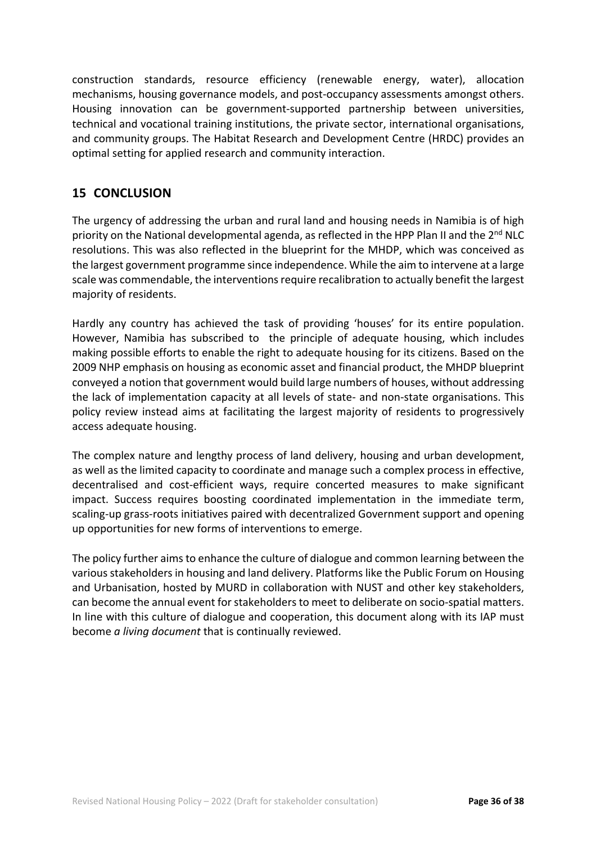construction standards, resource efficiency (renewable energy, water), allocation mechanisms, housing governance models, and post-occupancy assessments amongst others. Housing innovation can be government-supported partnership between universities, technical and vocational training institutions, the private sector, international organisations, and community groups. The Habitat Research and Development Centre (HRDC) provides an optimal setting for applied research and community interaction.

## **15 CONCLUSION**

The urgency of addressing the urban and rural land and housing needs in Namibia is of high priority on the National developmental agenda, as reflected in the HPP Plan II and the 2<sup>nd</sup> NLC resolutions. This was also reflected in the blueprint for the MHDP, which was conceived as the largest government programme since independence. While the aim to intervene at a large scale was commendable, the interventions require recalibration to actually benefit the largest majority of residents.

Hardly any country has achieved the task of providing 'houses' for its entire population. However, Namibia has subscribed to the principle of adequate housing, which includes making possible efforts to enable the right to adequate housing for its citizens. Based on the 2009 NHP emphasis on housing as economic asset and financial product, the MHDP blueprint conveyed a notion that government would build large numbers of houses, without addressing the lack of implementation capacity at all levels of state- and non-state organisations. This policy review instead aims at facilitating the largest majority of residents to progressively access adequate housing.

The complex nature and lengthy process of land delivery, housing and urban development, as well as the limited capacity to coordinate and manage such a complex process in effective, decentralised and cost-efficient ways, require concerted measures to make significant impact. Success requires boosting coordinated implementation in the immediate term, scaling-up grass-roots initiatives paired with decentralized Government support and opening up opportunities for new forms of interventions to emerge.

The policy further aims to enhance the culture of dialogue and common learning between the various stakeholders in housing and land delivery. Platforms like the Public Forum on Housing and Urbanisation, hosted by MURD in collaboration with NUST and other key stakeholders, can become the annual event for stakeholders to meet to deliberate on socio-spatial matters. In line with this culture of dialogue and cooperation, this document along with its IAP must become *a living document* that is continually reviewed.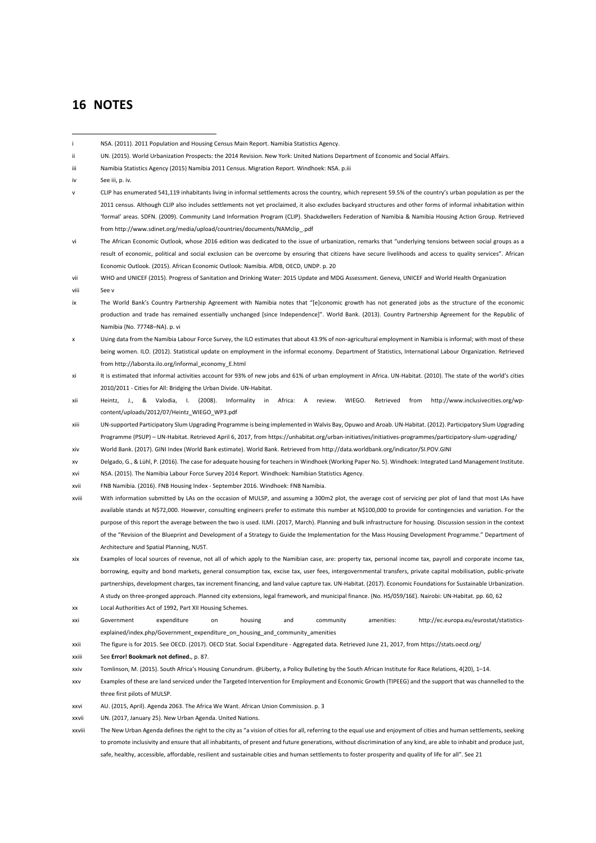#### **16 NOTES**

- NSA. (2011). 2011 Population and Housing Census Main Report. Namibia Statistics Agency.
- UN. (2015). World Urbanization Prospects: the 2014 Revision. New York: United Nations Department of Economic and Social Affairs.
- Namibia Statistics Agency (2015) Namibia 2011 Census. Migration Report. Windhoek: NSA. p.iii
- See iii, p. iv.
- v CLIP has enumerated 541,119 inhabitants living in informal settlements across the country, which represent 59.5% of the country's urban population as per the 2011 census. Although CLIP also includes settlements not yet proclaimed, it also excludes backyard structures and other forms of informal inhabitation within 'formal' areas. SDFN. (2009). Community Land Information Program (CLIP). Shackdwellers Federation of Namibia & Namibia Housing Action Group. Retrieved from http://www.sdinet.org/media/upload/countries/documents/NAMclip\_ndf

The African Economic Outlook, whose 2016 edition was dedicated to the issue of urbanization, remarks that "underlying tensions between social groups as a result of economic, political and social exclusion can be overcome by ensuring that citizens have secure livelihoods and access to quality services". African Economic Outlook. (2015). African Economic Outlook: Namibia. AfDB, OECD, UNDP. p. 20

- WHO and UNICEF (2015). Progress of Sanitation and Drinking Water: 2015 Update and MDG Assessment. Geneva, UNICEF and World Health Organization
- viii See v
- The World Bank's Country Partnership Agreement with Namibia notes that "[e]conomic growth has not generated jobs as the structure of the economic production and trade has remained essentially unchanged [since Independence]". World Bank. (2013). Country Partnership Agreement for the Republic of Namibia (No. 77748–NA). p. vi
- Using data from the Namibia Labour Force Survey, the ILO estimates that about 43.9% of non-agricultural employment in Namibia is informal; with most of these being women. ILO. (2012). Statistical update on employment in the informal economy. Department of Statistics, International Labour Organization. Retrieved from http://laborsta.ilo.org/informal\_economy\_E.html
- It is estimated that informal activities account for 93% of new jobs and 61% of urban employment in Africa. UN-Habitat. (2010). The state of the world's cities 2010/2011 - Cities for All: Bridging the Urban Divide. UN-Habitat.
- xii Heintz, J., & Valodia, I. (2008). Informality in Africa: A review. WIEGO. Retrieved from http://www.inclusivecities.org/wpcontent/uploads/2012/07/Heintz\_WIEGO\_WP3.pdf
- xiii UN-supported Participatory Slum Upgrading Programme is being implemented in Walvis Bay, Opuwo and Aroab. UN-Habitat. (2012). Participatory Slum Upgrading Programme (PSUP) – UN-Habitat. Retrieved April 6, 2017, from https://unhabitat.org/urban-initiatives/initiatives-programmes/participatory-slum-upgrading/
- xiv World Bank. (2017). GINI Index (World Bank estimate). World Bank. Retrieved from http://data.worldbank.org/indicator/SI.POV.GINI
- xv Delgado, G., & Lühl, P. (2016). The case for adequate housing for teachers in Windhoek (Working Paper No. 5). Windhoek: Integrated Land Management Institute.
- xvi NSA. (2015). The Namibia Labour Force Survey 2014 Report. Windhoek: Namibian Statistics Agency.
- xvii FNB Namibia. (2016). FNB Housing Index September 2016. Windhoek: FNB Namibia.
- xviii With information submitted by LAs on the occasion of MULSP, and assuming a 300m2 plot, the average cost of servicing per plot of land that most LAs have available stands at N\$72,000. However, consulting engineers prefer to estimate this number at N\$100,000 to provide for contingencies and variation. For the purpose of this report the average between the two is used. ILMI. (2017, March). Planning and bulk infrastructure for housing. Discussion session in the context of the "Revision of the Blueprint and Development of a Strategy to Guide the Implementation for the Mass Housing Development Programme." Department of Architecture and Spatial Planning, NUST.
- xix Examples of local sources of revenue, not all of which apply to the Namibian case, are: property tax, personal income tax, payroll and corporate income tax, borrowing, equity and bond markets, general consumption tax, excise tax, user fees, intergovernmental transfers, private capital mobilisation, public-private partnerships, development charges, tax increment financing, and land value capture tax. UN-Habitat. (2017). Economic Foundations for Sustainable Urbanization. A study on three-pronged approach. Planned city extensions, legal framework, and municipal finance. (No. HS/059/16E). Nairobi: UN-Habitat. pp. 60, 62
- xx Local Authorities Act of 1992, Part XII Housing Schemes.
- xxi Government expenditure on housing and community amenities: http://ec.europa.eu/eurostat/statisticsexplained/index.php/Government\_expenditure\_on\_housing\_and\_community\_amenities
- xxii The figure is for 2015. See OECD. (2017). OECD Stat. Social Expenditure Aggregated data. Retrieved June 21, 2017, from https://stats.oecd.org/
- xxiii See **Error! Bookmark not defined.**, p. 87.
- xxiv Tomlinson, M. (2015). South Africa's Housing Conundrum. @Liberty, a Policy Bulleting by the South African Institute for Race Relations, 4(20), 1–14.
- xxv Examples of these are land serviced under the Targeted Intervention for Employment and Economic Growth (TIPEEG) and the support that was channelled to the three first pilots of MULSP.
- xxvi AU. (2015, April). Agenda 2063. The Africa We Want. African Union Commission. p. 3
- xxvii UN. (2017, January 25). New Urban Agenda. United Nations.
- xxviii The New Urban Agenda defines the right to the city as "a vision of cities for all, referring to the equal use and enjoyment of cities and human settlements, seeking to promote inclusivity and ensure that all inhabitants, of present and future generations, without discrimination of any kind, are able to inhabit and produce just, safe, healthy, accessible, affordable, resilient and sustainable cities and human settlements to foster prosperity and quality of life for all". See 21